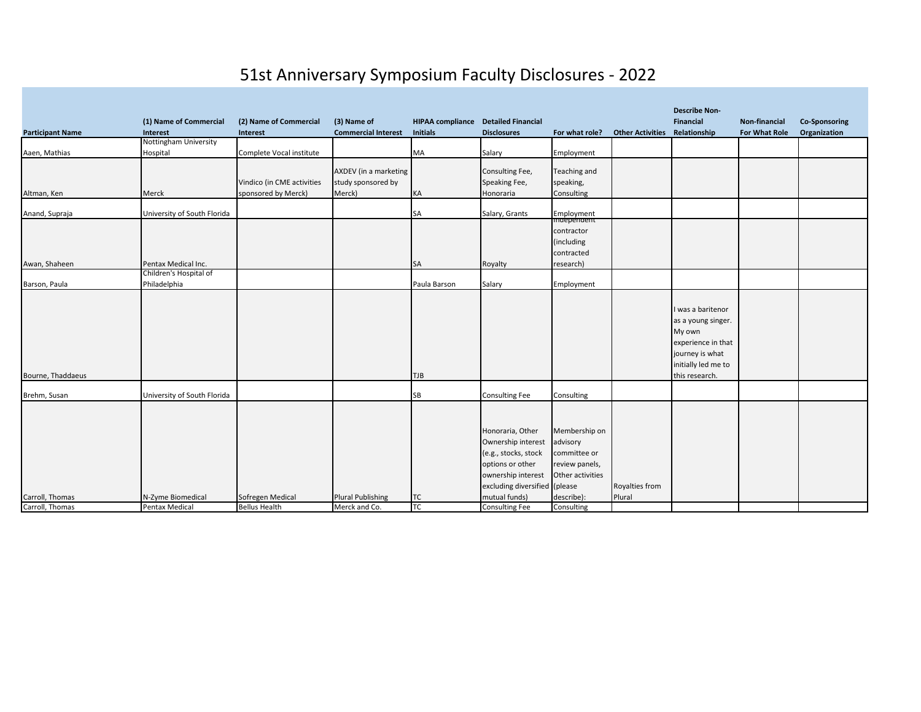## 51st Anniversary Symposium Faculty Disclosures - 2022

|                         |                             |                            |                            |                         |                               |                           |                         | <b>Describe Non-</b> |                      |                      |
|-------------------------|-----------------------------|----------------------------|----------------------------|-------------------------|-------------------------------|---------------------------|-------------------------|----------------------|----------------------|----------------------|
|                         | (1) Name of Commercial      | (2) Name of Commercial     | (3) Name of                | <b>HIPAA compliance</b> | <b>Detailed Financial</b>     |                           |                         | <b>Financial</b>     | Non-financial        | <b>Co-Sponsoring</b> |
| <b>Participant Name</b> | <b>Interest</b>             | Interest                   | <b>Commercial Interest</b> | <b>Initials</b>         | <b>Disclosures</b>            | For what role?            | <b>Other Activities</b> | Relationship         | <b>For What Role</b> | Organization         |
|                         | Nottingham University       |                            |                            |                         |                               |                           |                         |                      |                      |                      |
| Aaen, Mathias           | Hospital                    | Complete Vocal institute   |                            | MA                      | Salary                        | Employment                |                         |                      |                      |                      |
|                         |                             |                            |                            |                         |                               |                           |                         |                      |                      |                      |
|                         |                             |                            | AXDEV (in a marketing      |                         | Consulting Fee,               | Teaching and              |                         |                      |                      |                      |
|                         |                             | Vindico (in CME activities | study sponsored by         |                         | Speaking Fee,                 | speaking,                 |                         |                      |                      |                      |
| Altman, Ken             | Merck                       | sponsored by Merck)        | Merck)                     | KA                      | Honoraria                     | Consulting                |                         |                      |                      |                      |
| Anand, Supraja          | University of South Florida |                            |                            | SA                      | Salary, Grants                |                           |                         |                      |                      |                      |
|                         |                             |                            |                            |                         |                               | Employment<br>Independent |                         |                      |                      |                      |
|                         |                             |                            |                            |                         |                               | contractor                |                         |                      |                      |                      |
|                         |                             |                            |                            |                         |                               | (including                |                         |                      |                      |                      |
|                         |                             |                            |                            |                         |                               | contracted                |                         |                      |                      |                      |
| Awan, Shaheen           | Pentax Medical Inc.         |                            |                            | SA                      | Royalty                       | research)                 |                         |                      |                      |                      |
|                         | Children's Hospital of      |                            |                            |                         |                               |                           |                         |                      |                      |                      |
| Barson, Paula           | Philadelphia                |                            |                            | Paula Barson            | Salary                        | Employment                |                         |                      |                      |                      |
|                         |                             |                            |                            |                         |                               |                           |                         |                      |                      |                      |
|                         |                             |                            |                            |                         |                               |                           |                         | I was a baritenor    |                      |                      |
|                         |                             |                            |                            |                         |                               |                           |                         | as a young singer.   |                      |                      |
|                         |                             |                            |                            |                         |                               |                           |                         | My own               |                      |                      |
|                         |                             |                            |                            |                         |                               |                           |                         | experience in that   |                      |                      |
|                         |                             |                            |                            |                         |                               |                           |                         | journey is what      |                      |                      |
|                         |                             |                            |                            |                         |                               |                           |                         | initially led me to  |                      |                      |
| Bourne, Thaddaeus       |                             |                            |                            | TJB                     |                               |                           |                         | this research.       |                      |                      |
| Brehm, Susan            | University of South Florida |                            |                            | SB                      | <b>Consulting Fee</b>         | Consulting                |                         |                      |                      |                      |
|                         |                             |                            |                            |                         |                               |                           |                         |                      |                      |                      |
|                         |                             |                            |                            |                         |                               |                           |                         |                      |                      |                      |
|                         |                             |                            |                            |                         | Honoraria, Other              | Membership on             |                         |                      |                      |                      |
|                         |                             |                            |                            |                         | Ownership interest            | advisory                  |                         |                      |                      |                      |
|                         |                             |                            |                            |                         |                               |                           |                         |                      |                      |                      |
|                         |                             |                            |                            |                         | (e.g., stocks, stock          | committee or              |                         |                      |                      |                      |
|                         |                             |                            |                            |                         | options or other              | review panels,            |                         |                      |                      |                      |
|                         |                             |                            |                            |                         | ownership interest            | Other activities          |                         |                      |                      |                      |
|                         |                             |                            |                            |                         | excluding diversified (please |                           | Royalties from          |                      |                      |                      |
| Carroll, Thomas         | N-Zyme Biomedical           | Sofregen Medical           | <b>Plural Publishing</b>   | ТC                      | mutual funds)                 | describe):                | Plural                  |                      |                      |                      |
| Carroll, Thomas         | Pentax Medical              | <b>Bellus Health</b>       | Merck and Co.              | TC                      | Consulting Fee                | Consulting                |                         |                      |                      |                      |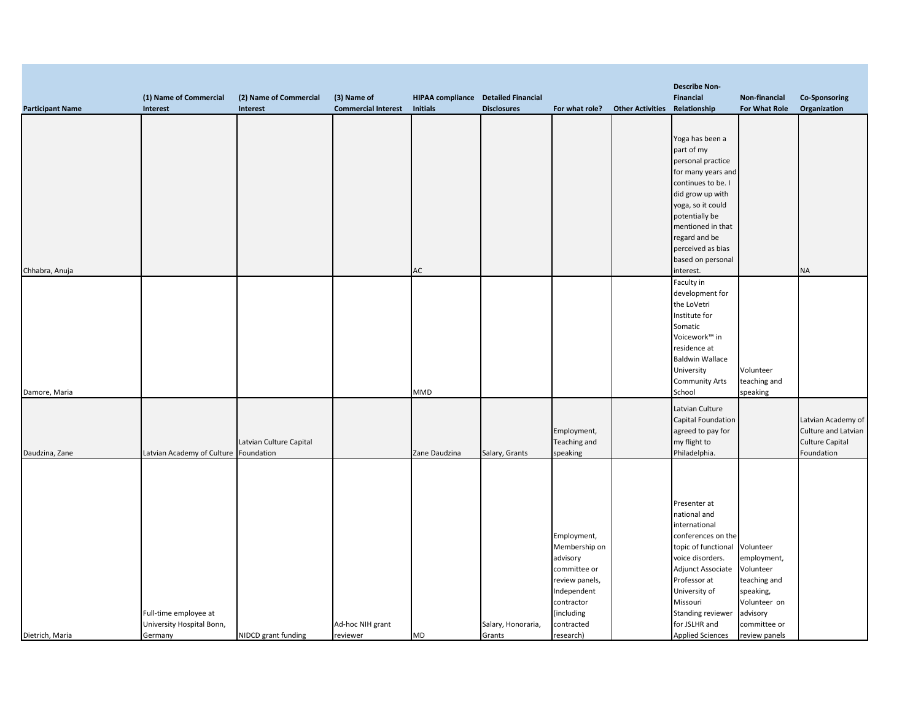|                         |                            |                         |                            |                                     |                    |                |                         | <b>Describe Non-</b>      |               |                        |
|-------------------------|----------------------------|-------------------------|----------------------------|-------------------------------------|--------------------|----------------|-------------------------|---------------------------|---------------|------------------------|
|                         | (1) Name of Commercial     | (2) Name of Commercial  | (3) Name of                | HIPAA compliance Detailed Financial |                    |                |                         | Financial                 | Non-financial | <b>Co-Sponsoring</b>   |
| <b>Participant Name</b> | Interest                   | Interest                | <b>Commercial Interest</b> | <b>Initials</b>                     | <b>Disclosures</b> | For what role? | <b>Other Activities</b> | Relationship              | For What Role | Organization           |
|                         |                            |                         |                            |                                     |                    |                |                         |                           |               |                        |
|                         |                            |                         |                            |                                     |                    |                |                         | Yoga has been a           |               |                        |
|                         |                            |                         |                            |                                     |                    |                |                         | part of my                |               |                        |
|                         |                            |                         |                            |                                     |                    |                |                         | personal practice         |               |                        |
|                         |                            |                         |                            |                                     |                    |                |                         | for many years and        |               |                        |
|                         |                            |                         |                            |                                     |                    |                |                         | continues to be. I        |               |                        |
|                         |                            |                         |                            |                                     |                    |                |                         | did grow up with          |               |                        |
|                         |                            |                         |                            |                                     |                    |                |                         | yoga, so it could         |               |                        |
|                         |                            |                         |                            |                                     |                    |                |                         | potentially be            |               |                        |
|                         |                            |                         |                            |                                     |                    |                |                         | mentioned in that         |               |                        |
|                         |                            |                         |                            |                                     |                    |                |                         | regard and be             |               |                        |
|                         |                            |                         |                            |                                     |                    |                |                         | perceived as bias         |               |                        |
|                         |                            |                         |                            |                                     |                    |                |                         | based on personal         |               |                        |
| Chhabra, Anuja          |                            |                         |                            | AC                                  |                    |                |                         | interest.                 |               | <b>NA</b>              |
|                         |                            |                         |                            |                                     |                    |                |                         | Faculty in                |               |                        |
|                         |                            |                         |                            |                                     |                    |                |                         | development for           |               |                        |
|                         |                            |                         |                            |                                     |                    |                |                         | the LoVetri               |               |                        |
|                         |                            |                         |                            |                                     |                    |                |                         | Institute for             |               |                        |
|                         |                            |                         |                            |                                     |                    |                |                         | Somatic                   |               |                        |
|                         |                            |                         |                            |                                     |                    |                |                         | Voicework™ in             |               |                        |
|                         |                            |                         |                            |                                     |                    |                |                         | residence at              |               |                        |
|                         |                            |                         |                            |                                     |                    |                |                         | <b>Baldwin Wallace</b>    |               |                        |
|                         |                            |                         |                            |                                     |                    |                |                         | University                | Volunteer     |                        |
|                         |                            |                         |                            |                                     |                    |                |                         | <b>Community Arts</b>     | teaching and  |                        |
| Damore, Maria           |                            |                         |                            | MMD                                 |                    |                |                         | School                    | speaking      |                        |
|                         |                            |                         |                            |                                     |                    |                |                         | Latvian Culture           |               |                        |
|                         |                            |                         |                            |                                     |                    |                |                         | <b>Capital Foundation</b> |               | Latvian Academy of     |
|                         |                            |                         |                            |                                     |                    | Employment,    |                         | agreed to pay for         |               | Culture and Latvian    |
|                         |                            | Latvian Culture Capital |                            |                                     |                    | Teaching and   |                         | my flight to              |               | <b>Culture Capital</b> |
| Daudzina, Zane          | Latvian Academy of Culture | Foundation              |                            | Zane Daudzina                       | Salary, Grants     | speaking       |                         | Philadelphia.             |               | Foundation             |
|                         |                            |                         |                            |                                     |                    |                |                         |                           |               |                        |
|                         |                            |                         |                            |                                     |                    |                |                         |                           |               |                        |
|                         |                            |                         |                            |                                     |                    |                |                         |                           |               |                        |
|                         |                            |                         |                            |                                     |                    |                |                         | Presenter at              |               |                        |
|                         |                            |                         |                            |                                     |                    |                |                         | national and              |               |                        |
|                         |                            |                         |                            |                                     |                    |                |                         | international             |               |                        |
|                         |                            |                         |                            |                                     |                    | Employment,    |                         | conferences on the        |               |                        |
|                         |                            |                         |                            |                                     |                    | Membership on  |                         | topic of functional       | Volunteer     |                        |
|                         |                            |                         |                            |                                     |                    | advisory       |                         | voice disorders.          | employment,   |                        |
|                         |                            |                         |                            |                                     |                    | committee or   |                         | Adjunct Associate         | Volunteer     |                        |
|                         |                            |                         |                            |                                     |                    | review panels, |                         | Professor at              | teaching and  |                        |
|                         |                            |                         |                            |                                     |                    | Independent    |                         | University of             | speaking,     |                        |
|                         |                            |                         |                            |                                     |                    | contractor     |                         | Missouri                  | Volunteer on  |                        |
|                         | Full-time employee at      |                         |                            |                                     |                    | (including     |                         | Standing reviewer         | advisory      |                        |
|                         | University Hospital Bonn,  |                         | Ad-hoc NIH grant           |                                     | Salary, Honoraria, | contracted     |                         | for JSLHR and             | committee or  |                        |
| Dietrich, Maria         | Germany                    | NIDCD grant funding     | reviewer                   | MD                                  | Grants             | research)      |                         | <b>Applied Sciences</b>   | review panels |                        |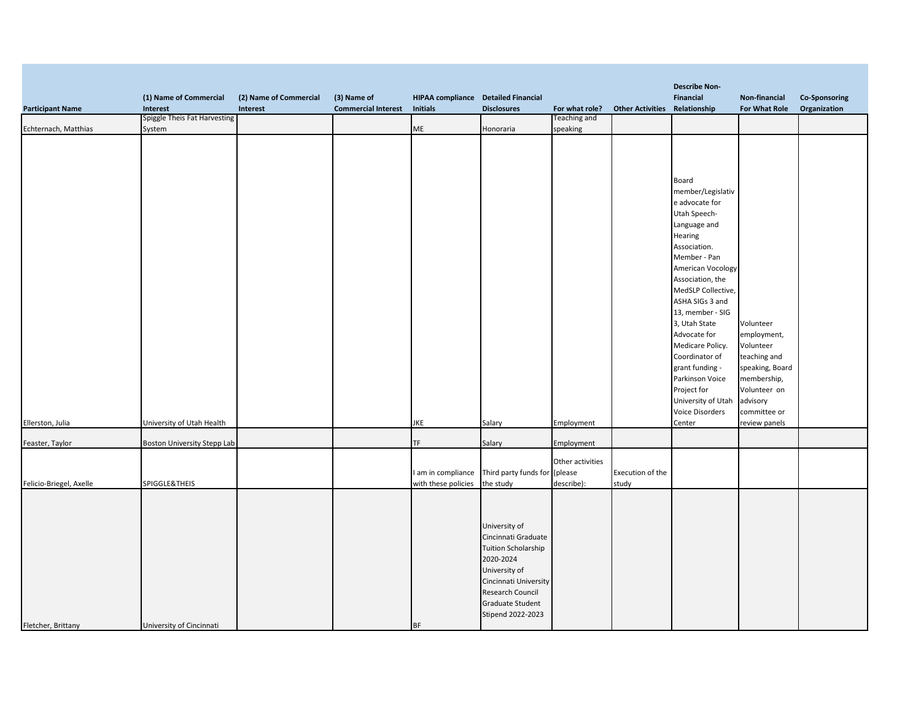|                         |                                    |                        |                            |                                            |                               |                     |                                      | <b>Describe Non-</b> |                 |                      |
|-------------------------|------------------------------------|------------------------|----------------------------|--------------------------------------------|-------------------------------|---------------------|--------------------------------------|----------------------|-----------------|----------------------|
|                         | (1) Name of Commercial             | (2) Name of Commercial | (3) Name of                | <b>HIPAA compliance</b> Detailed Financial |                               |                     |                                      | Financial            | Non-financial   | <b>Co-Sponsoring</b> |
| <b>Participant Name</b> | Interest                           | Interest               | <b>Commercial Interest</b> | <b>Initials</b>                            | <b>Disclosures</b>            | For what role?      | <b>Other Activities Relationship</b> |                      | For What Role   | Organization         |
|                         | Spiggle Theis Fat Harvesting       |                        |                            |                                            |                               | <b>Teaching and</b> |                                      |                      |                 |                      |
| Echternach, Matthias    | System                             |                        |                            | ME                                         | Honoraria                     | speaking            |                                      |                      |                 |                      |
|                         |                                    |                        |                            |                                            |                               |                     |                                      |                      |                 |                      |
|                         |                                    |                        |                            |                                            |                               |                     |                                      |                      |                 |                      |
|                         |                                    |                        |                            |                                            |                               |                     |                                      |                      |                 |                      |
|                         |                                    |                        |                            |                                            |                               |                     |                                      |                      |                 |                      |
|                         |                                    |                        |                            |                                            |                               |                     |                                      | Board                |                 |                      |
|                         |                                    |                        |                            |                                            |                               |                     |                                      | member/Legislativ    |                 |                      |
|                         |                                    |                        |                            |                                            |                               |                     |                                      | e advocate for       |                 |                      |
|                         |                                    |                        |                            |                                            |                               |                     |                                      | Utah Speech-         |                 |                      |
|                         |                                    |                        |                            |                                            |                               |                     |                                      | Language and         |                 |                      |
|                         |                                    |                        |                            |                                            |                               |                     |                                      | Hearing              |                 |                      |
|                         |                                    |                        |                            |                                            |                               |                     |                                      | Association.         |                 |                      |
|                         |                                    |                        |                            |                                            |                               |                     |                                      | Member - Pan         |                 |                      |
|                         |                                    |                        |                            |                                            |                               |                     |                                      | American Vocology    |                 |                      |
|                         |                                    |                        |                            |                                            |                               |                     |                                      | Association, the     |                 |                      |
|                         |                                    |                        |                            |                                            |                               |                     |                                      | MedSLP Collective,   |                 |                      |
|                         |                                    |                        |                            |                                            |                               |                     |                                      | ASHA SIGs 3 and      |                 |                      |
|                         |                                    |                        |                            |                                            |                               |                     |                                      | 13, member - SIG     |                 |                      |
|                         |                                    |                        |                            |                                            |                               |                     |                                      | 3, Utah State        | Volunteer       |                      |
|                         |                                    |                        |                            |                                            |                               |                     |                                      | Advocate for         | employment,     |                      |
|                         |                                    |                        |                            |                                            |                               |                     |                                      | Medicare Policy.     | Volunteer       |                      |
|                         |                                    |                        |                            |                                            |                               |                     |                                      | Coordinator of       | teaching and    |                      |
|                         |                                    |                        |                            |                                            |                               |                     |                                      | grant funding -      | speaking, Board |                      |
|                         |                                    |                        |                            |                                            |                               |                     |                                      | Parkinson Voice      | membership,     |                      |
|                         |                                    |                        |                            |                                            |                               |                     |                                      | Project for          | Volunteer on    |                      |
|                         |                                    |                        |                            |                                            |                               |                     |                                      | University of Utah   | advisory        |                      |
|                         |                                    |                        |                            |                                            |                               |                     |                                      | Voice Disorders      | committee or    |                      |
| Ellerston, Julia        | University of Utah Health          |                        |                            | JKE                                        | Salary                        | Employment          |                                      | Center               | review panels   |                      |
|                         |                                    |                        |                            |                                            |                               |                     |                                      |                      |                 |                      |
| Feaster, Taylor         | <b>Boston University Stepp Lab</b> |                        |                            | TF                                         | Salary                        | Employment          |                                      |                      |                 |                      |
|                         |                                    |                        |                            |                                            |                               |                     |                                      |                      |                 |                      |
|                         |                                    |                        |                            |                                            |                               | Other activities    |                                      |                      |                 |                      |
|                         |                                    |                        |                            | I am in compliance                         | Third party funds for (please |                     | Execution of the                     |                      |                 |                      |
| Felicio-Briegel, Axelle | SPIGGLE&THEIS                      |                        |                            | with these policies                        | the study                     | describe):          | study                                |                      |                 |                      |
|                         |                                    |                        |                            |                                            |                               |                     |                                      |                      |                 |                      |
|                         |                                    |                        |                            |                                            |                               |                     |                                      |                      |                 |                      |
|                         |                                    |                        |                            |                                            |                               |                     |                                      |                      |                 |                      |
|                         |                                    |                        |                            |                                            | University of                 |                     |                                      |                      |                 |                      |
|                         |                                    |                        |                            |                                            | Cincinnati Graduate           |                     |                                      |                      |                 |                      |
|                         |                                    |                        |                            |                                            | <b>Tuition Scholarship</b>    |                     |                                      |                      |                 |                      |
|                         |                                    |                        |                            |                                            | 2020-2024                     |                     |                                      |                      |                 |                      |
|                         |                                    |                        |                            |                                            | University of                 |                     |                                      |                      |                 |                      |
|                         |                                    |                        |                            |                                            | Cincinnati University         |                     |                                      |                      |                 |                      |
|                         |                                    |                        |                            |                                            | Research Council              |                     |                                      |                      |                 |                      |
|                         |                                    |                        |                            |                                            | <b>Graduate Student</b>       |                     |                                      |                      |                 |                      |
|                         |                                    |                        |                            |                                            | Stipend 2022-2023             |                     |                                      |                      |                 |                      |
| Fletcher, Brittany      | University of Cincinnati           |                        |                            | <b>BF</b>                                  |                               |                     |                                      |                      |                 |                      |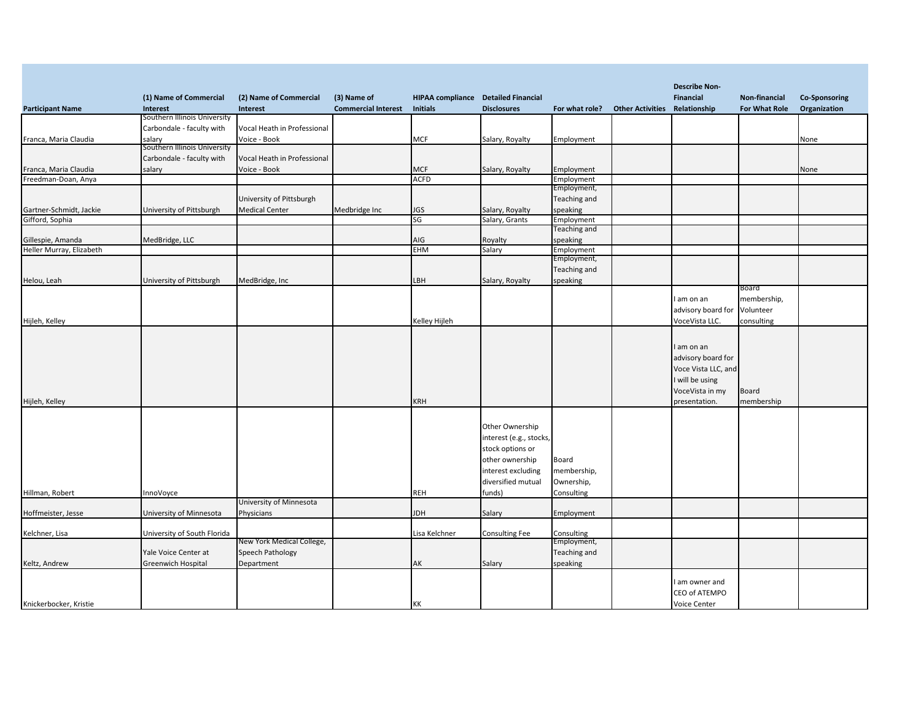| <b>HIPAA compliance</b> Detailed Financial<br>(1) Name of Commercial<br>(2) Name of Commercial<br>(3) Name of<br><b>Financial</b><br>Non-financial<br><b>Co-Sponsoring</b><br><b>Commercial Interest</b><br><b>Other Activities Relationship</b><br><b>For What Role</b><br>Organization<br><b>Participant Name</b><br><b>Initials</b><br><b>Disclosures</b><br>Interest<br>Interest<br>For what role?<br>Southern Illinois University<br>Carbondale - faculty with<br>Vocal Heath in Professional<br>Franca, Maria Claudia<br>salarv<br>Voice - Book<br><b>MCF</b><br>Salary, Royalty<br>Employment<br>None<br>Southern Illinois University<br>Carbondale - faculty with<br>Vocal Heath in Professional<br>Franca, Maria Claudia<br>salary<br>Voice - Book<br>MCF<br>Salary, Royalty<br>Employment<br>None<br><b>ACFD</b><br>Freedman-Doan, Anya<br>Employment<br>Employment,<br>University of Pittsburgh<br>Teaching and<br>Gartner-Schmidt, Jackie<br>University of Pittsburgh<br><b>Medical Center</b><br>JGS<br>speaking<br>Medbridge Inc<br>Salary, Royalty<br>Gifford, Sophia<br>SG<br>Employment<br>Salary, Grants<br>Teaching and<br>MedBridge, LLC<br>AIG<br>speaking<br>Gillespie, Amanda<br>Royalty<br>EHM<br>Heller Murray, Elizabeth<br>Salary<br>Employment<br>Employment,<br>Teaching and<br>University of Pittsburgh<br>MedBridge, Inc<br>LBH<br>Salary, Royalty<br>speaking<br>Board<br>membership,<br>I am on an<br>Volunteer<br>advisory board for<br>Kelley Hijleh<br>consulting<br>VoceVista LLC.<br>I am on an<br>advisory board for<br>Voce Vista LLC, and<br>I will be using<br>VoceVista in my<br><b>Board</b><br>KRH<br>presentation.<br>membership<br>Other Ownership<br>interest (e.g., stocks,<br>stock options or<br>other ownership<br>Board<br>interest excluding<br>membership,<br>diversified mutual<br>Ownership,<br>Hillman, Robert<br>InnoVoyce<br><b>REH</b><br>funds)<br>Consulting<br>University of Minnesota<br>University of Minnesota<br>Physicians<br><b>HOL</b><br>Employment<br>Hoffmeister, Jesse<br>Salary<br>Kelchner, Lisa<br>University of South Florida<br>Lisa Kelchner<br><b>Consulting Fee</b><br>Consulting<br>New York Medical College,<br>Employment,<br>Speech Pathology<br>Teaching and<br>Yale Voice Center at<br>Greenwich Hospital<br>Department<br>AK<br>Salary<br>speaking<br>Keltz, Andrew<br>I am owner and<br>CEO of ATEMPO |                        |  |    |  |                      |  |
|--------------------------------------------------------------------------------------------------------------------------------------------------------------------------------------------------------------------------------------------------------------------------------------------------------------------------------------------------------------------------------------------------------------------------------------------------------------------------------------------------------------------------------------------------------------------------------------------------------------------------------------------------------------------------------------------------------------------------------------------------------------------------------------------------------------------------------------------------------------------------------------------------------------------------------------------------------------------------------------------------------------------------------------------------------------------------------------------------------------------------------------------------------------------------------------------------------------------------------------------------------------------------------------------------------------------------------------------------------------------------------------------------------------------------------------------------------------------------------------------------------------------------------------------------------------------------------------------------------------------------------------------------------------------------------------------------------------------------------------------------------------------------------------------------------------------------------------------------------------------------------------------------------------------------------------------------------------------------------------------------------------------------------------------------------------------------------------------------------------------------------------------------------------------------------------------------------------------------------------------------------------------------------------------------------------------------------------------------------------------------------------------------|------------------------|--|----|--|----------------------|--|
|                                                                                                                                                                                                                                                                                                                                                                                                                                                                                                                                                                                                                                                                                                                                                                                                                                                                                                                                                                                                                                                                                                                                                                                                                                                                                                                                                                                                                                                                                                                                                                                                                                                                                                                                                                                                                                                                                                                                                                                                                                                                                                                                                                                                                                                                                                                                                                                                  |                        |  |    |  | <b>Describe Non-</b> |  |
|                                                                                                                                                                                                                                                                                                                                                                                                                                                                                                                                                                                                                                                                                                                                                                                                                                                                                                                                                                                                                                                                                                                                                                                                                                                                                                                                                                                                                                                                                                                                                                                                                                                                                                                                                                                                                                                                                                                                                                                                                                                                                                                                                                                                                                                                                                                                                                                                  |                        |  |    |  |                      |  |
|                                                                                                                                                                                                                                                                                                                                                                                                                                                                                                                                                                                                                                                                                                                                                                                                                                                                                                                                                                                                                                                                                                                                                                                                                                                                                                                                                                                                                                                                                                                                                                                                                                                                                                                                                                                                                                                                                                                                                                                                                                                                                                                                                                                                                                                                                                                                                                                                  |                        |  |    |  |                      |  |
|                                                                                                                                                                                                                                                                                                                                                                                                                                                                                                                                                                                                                                                                                                                                                                                                                                                                                                                                                                                                                                                                                                                                                                                                                                                                                                                                                                                                                                                                                                                                                                                                                                                                                                                                                                                                                                                                                                                                                                                                                                                                                                                                                                                                                                                                                                                                                                                                  |                        |  |    |  |                      |  |
|                                                                                                                                                                                                                                                                                                                                                                                                                                                                                                                                                                                                                                                                                                                                                                                                                                                                                                                                                                                                                                                                                                                                                                                                                                                                                                                                                                                                                                                                                                                                                                                                                                                                                                                                                                                                                                                                                                                                                                                                                                                                                                                                                                                                                                                                                                                                                                                                  |                        |  |    |  |                      |  |
|                                                                                                                                                                                                                                                                                                                                                                                                                                                                                                                                                                                                                                                                                                                                                                                                                                                                                                                                                                                                                                                                                                                                                                                                                                                                                                                                                                                                                                                                                                                                                                                                                                                                                                                                                                                                                                                                                                                                                                                                                                                                                                                                                                                                                                                                                                                                                                                                  |                        |  |    |  |                      |  |
|                                                                                                                                                                                                                                                                                                                                                                                                                                                                                                                                                                                                                                                                                                                                                                                                                                                                                                                                                                                                                                                                                                                                                                                                                                                                                                                                                                                                                                                                                                                                                                                                                                                                                                                                                                                                                                                                                                                                                                                                                                                                                                                                                                                                                                                                                                                                                                                                  |                        |  |    |  |                      |  |
|                                                                                                                                                                                                                                                                                                                                                                                                                                                                                                                                                                                                                                                                                                                                                                                                                                                                                                                                                                                                                                                                                                                                                                                                                                                                                                                                                                                                                                                                                                                                                                                                                                                                                                                                                                                                                                                                                                                                                                                                                                                                                                                                                                                                                                                                                                                                                                                                  |                        |  |    |  |                      |  |
|                                                                                                                                                                                                                                                                                                                                                                                                                                                                                                                                                                                                                                                                                                                                                                                                                                                                                                                                                                                                                                                                                                                                                                                                                                                                                                                                                                                                                                                                                                                                                                                                                                                                                                                                                                                                                                                                                                                                                                                                                                                                                                                                                                                                                                                                                                                                                                                                  |                        |  |    |  |                      |  |
|                                                                                                                                                                                                                                                                                                                                                                                                                                                                                                                                                                                                                                                                                                                                                                                                                                                                                                                                                                                                                                                                                                                                                                                                                                                                                                                                                                                                                                                                                                                                                                                                                                                                                                                                                                                                                                                                                                                                                                                                                                                                                                                                                                                                                                                                                                                                                                                                  |                        |  |    |  |                      |  |
|                                                                                                                                                                                                                                                                                                                                                                                                                                                                                                                                                                                                                                                                                                                                                                                                                                                                                                                                                                                                                                                                                                                                                                                                                                                                                                                                                                                                                                                                                                                                                                                                                                                                                                                                                                                                                                                                                                                                                                                                                                                                                                                                                                                                                                                                                                                                                                                                  |                        |  |    |  |                      |  |
|                                                                                                                                                                                                                                                                                                                                                                                                                                                                                                                                                                                                                                                                                                                                                                                                                                                                                                                                                                                                                                                                                                                                                                                                                                                                                                                                                                                                                                                                                                                                                                                                                                                                                                                                                                                                                                                                                                                                                                                                                                                                                                                                                                                                                                                                                                                                                                                                  |                        |  |    |  |                      |  |
|                                                                                                                                                                                                                                                                                                                                                                                                                                                                                                                                                                                                                                                                                                                                                                                                                                                                                                                                                                                                                                                                                                                                                                                                                                                                                                                                                                                                                                                                                                                                                                                                                                                                                                                                                                                                                                                                                                                                                                                                                                                                                                                                                                                                                                                                                                                                                                                                  |                        |  |    |  |                      |  |
|                                                                                                                                                                                                                                                                                                                                                                                                                                                                                                                                                                                                                                                                                                                                                                                                                                                                                                                                                                                                                                                                                                                                                                                                                                                                                                                                                                                                                                                                                                                                                                                                                                                                                                                                                                                                                                                                                                                                                                                                                                                                                                                                                                                                                                                                                                                                                                                                  |                        |  |    |  |                      |  |
|                                                                                                                                                                                                                                                                                                                                                                                                                                                                                                                                                                                                                                                                                                                                                                                                                                                                                                                                                                                                                                                                                                                                                                                                                                                                                                                                                                                                                                                                                                                                                                                                                                                                                                                                                                                                                                                                                                                                                                                                                                                                                                                                                                                                                                                                                                                                                                                                  |                        |  |    |  |                      |  |
|                                                                                                                                                                                                                                                                                                                                                                                                                                                                                                                                                                                                                                                                                                                                                                                                                                                                                                                                                                                                                                                                                                                                                                                                                                                                                                                                                                                                                                                                                                                                                                                                                                                                                                                                                                                                                                                                                                                                                                                                                                                                                                                                                                                                                                                                                                                                                                                                  |                        |  |    |  |                      |  |
|                                                                                                                                                                                                                                                                                                                                                                                                                                                                                                                                                                                                                                                                                                                                                                                                                                                                                                                                                                                                                                                                                                                                                                                                                                                                                                                                                                                                                                                                                                                                                                                                                                                                                                                                                                                                                                                                                                                                                                                                                                                                                                                                                                                                                                                                                                                                                                                                  |                        |  |    |  |                      |  |
|                                                                                                                                                                                                                                                                                                                                                                                                                                                                                                                                                                                                                                                                                                                                                                                                                                                                                                                                                                                                                                                                                                                                                                                                                                                                                                                                                                                                                                                                                                                                                                                                                                                                                                                                                                                                                                                                                                                                                                                                                                                                                                                                                                                                                                                                                                                                                                                                  |                        |  |    |  |                      |  |
|                                                                                                                                                                                                                                                                                                                                                                                                                                                                                                                                                                                                                                                                                                                                                                                                                                                                                                                                                                                                                                                                                                                                                                                                                                                                                                                                                                                                                                                                                                                                                                                                                                                                                                                                                                                                                                                                                                                                                                                                                                                                                                                                                                                                                                                                                                                                                                                                  | Helou, Leah            |  |    |  |                      |  |
|                                                                                                                                                                                                                                                                                                                                                                                                                                                                                                                                                                                                                                                                                                                                                                                                                                                                                                                                                                                                                                                                                                                                                                                                                                                                                                                                                                                                                                                                                                                                                                                                                                                                                                                                                                                                                                                                                                                                                                                                                                                                                                                                                                                                                                                                                                                                                                                                  |                        |  |    |  |                      |  |
|                                                                                                                                                                                                                                                                                                                                                                                                                                                                                                                                                                                                                                                                                                                                                                                                                                                                                                                                                                                                                                                                                                                                                                                                                                                                                                                                                                                                                                                                                                                                                                                                                                                                                                                                                                                                                                                                                                                                                                                                                                                                                                                                                                                                                                                                                                                                                                                                  |                        |  |    |  |                      |  |
|                                                                                                                                                                                                                                                                                                                                                                                                                                                                                                                                                                                                                                                                                                                                                                                                                                                                                                                                                                                                                                                                                                                                                                                                                                                                                                                                                                                                                                                                                                                                                                                                                                                                                                                                                                                                                                                                                                                                                                                                                                                                                                                                                                                                                                                                                                                                                                                                  |                        |  |    |  |                      |  |
|                                                                                                                                                                                                                                                                                                                                                                                                                                                                                                                                                                                                                                                                                                                                                                                                                                                                                                                                                                                                                                                                                                                                                                                                                                                                                                                                                                                                                                                                                                                                                                                                                                                                                                                                                                                                                                                                                                                                                                                                                                                                                                                                                                                                                                                                                                                                                                                                  | Hijleh, Kelley         |  |    |  |                      |  |
|                                                                                                                                                                                                                                                                                                                                                                                                                                                                                                                                                                                                                                                                                                                                                                                                                                                                                                                                                                                                                                                                                                                                                                                                                                                                                                                                                                                                                                                                                                                                                                                                                                                                                                                                                                                                                                                                                                                                                                                                                                                                                                                                                                                                                                                                                                                                                                                                  |                        |  |    |  |                      |  |
|                                                                                                                                                                                                                                                                                                                                                                                                                                                                                                                                                                                                                                                                                                                                                                                                                                                                                                                                                                                                                                                                                                                                                                                                                                                                                                                                                                                                                                                                                                                                                                                                                                                                                                                                                                                                                                                                                                                                                                                                                                                                                                                                                                                                                                                                                                                                                                                                  |                        |  |    |  |                      |  |
|                                                                                                                                                                                                                                                                                                                                                                                                                                                                                                                                                                                                                                                                                                                                                                                                                                                                                                                                                                                                                                                                                                                                                                                                                                                                                                                                                                                                                                                                                                                                                                                                                                                                                                                                                                                                                                                                                                                                                                                                                                                                                                                                                                                                                                                                                                                                                                                                  |                        |  |    |  |                      |  |
|                                                                                                                                                                                                                                                                                                                                                                                                                                                                                                                                                                                                                                                                                                                                                                                                                                                                                                                                                                                                                                                                                                                                                                                                                                                                                                                                                                                                                                                                                                                                                                                                                                                                                                                                                                                                                                                                                                                                                                                                                                                                                                                                                                                                                                                                                                                                                                                                  |                        |  |    |  |                      |  |
|                                                                                                                                                                                                                                                                                                                                                                                                                                                                                                                                                                                                                                                                                                                                                                                                                                                                                                                                                                                                                                                                                                                                                                                                                                                                                                                                                                                                                                                                                                                                                                                                                                                                                                                                                                                                                                                                                                                                                                                                                                                                                                                                                                                                                                                                                                                                                                                                  |                        |  |    |  |                      |  |
|                                                                                                                                                                                                                                                                                                                                                                                                                                                                                                                                                                                                                                                                                                                                                                                                                                                                                                                                                                                                                                                                                                                                                                                                                                                                                                                                                                                                                                                                                                                                                                                                                                                                                                                                                                                                                                                                                                                                                                                                                                                                                                                                                                                                                                                                                                                                                                                                  |                        |  |    |  |                      |  |
|                                                                                                                                                                                                                                                                                                                                                                                                                                                                                                                                                                                                                                                                                                                                                                                                                                                                                                                                                                                                                                                                                                                                                                                                                                                                                                                                                                                                                                                                                                                                                                                                                                                                                                                                                                                                                                                                                                                                                                                                                                                                                                                                                                                                                                                                                                                                                                                                  |                        |  |    |  |                      |  |
|                                                                                                                                                                                                                                                                                                                                                                                                                                                                                                                                                                                                                                                                                                                                                                                                                                                                                                                                                                                                                                                                                                                                                                                                                                                                                                                                                                                                                                                                                                                                                                                                                                                                                                                                                                                                                                                                                                                                                                                                                                                                                                                                                                                                                                                                                                                                                                                                  | Hijleh, Kelley         |  |    |  |                      |  |
|                                                                                                                                                                                                                                                                                                                                                                                                                                                                                                                                                                                                                                                                                                                                                                                                                                                                                                                                                                                                                                                                                                                                                                                                                                                                                                                                                                                                                                                                                                                                                                                                                                                                                                                                                                                                                                                                                                                                                                                                                                                                                                                                                                                                                                                                                                                                                                                                  |                        |  |    |  |                      |  |
|                                                                                                                                                                                                                                                                                                                                                                                                                                                                                                                                                                                                                                                                                                                                                                                                                                                                                                                                                                                                                                                                                                                                                                                                                                                                                                                                                                                                                                                                                                                                                                                                                                                                                                                                                                                                                                                                                                                                                                                                                                                                                                                                                                                                                                                                                                                                                                                                  |                        |  |    |  |                      |  |
|                                                                                                                                                                                                                                                                                                                                                                                                                                                                                                                                                                                                                                                                                                                                                                                                                                                                                                                                                                                                                                                                                                                                                                                                                                                                                                                                                                                                                                                                                                                                                                                                                                                                                                                                                                                                                                                                                                                                                                                                                                                                                                                                                                                                                                                                                                                                                                                                  |                        |  |    |  |                      |  |
|                                                                                                                                                                                                                                                                                                                                                                                                                                                                                                                                                                                                                                                                                                                                                                                                                                                                                                                                                                                                                                                                                                                                                                                                                                                                                                                                                                                                                                                                                                                                                                                                                                                                                                                                                                                                                                                                                                                                                                                                                                                                                                                                                                                                                                                                                                                                                                                                  |                        |  |    |  |                      |  |
|                                                                                                                                                                                                                                                                                                                                                                                                                                                                                                                                                                                                                                                                                                                                                                                                                                                                                                                                                                                                                                                                                                                                                                                                                                                                                                                                                                                                                                                                                                                                                                                                                                                                                                                                                                                                                                                                                                                                                                                                                                                                                                                                                                                                                                                                                                                                                                                                  |                        |  |    |  |                      |  |
|                                                                                                                                                                                                                                                                                                                                                                                                                                                                                                                                                                                                                                                                                                                                                                                                                                                                                                                                                                                                                                                                                                                                                                                                                                                                                                                                                                                                                                                                                                                                                                                                                                                                                                                                                                                                                                                                                                                                                                                                                                                                                                                                                                                                                                                                                                                                                                                                  |                        |  |    |  |                      |  |
|                                                                                                                                                                                                                                                                                                                                                                                                                                                                                                                                                                                                                                                                                                                                                                                                                                                                                                                                                                                                                                                                                                                                                                                                                                                                                                                                                                                                                                                                                                                                                                                                                                                                                                                                                                                                                                                                                                                                                                                                                                                                                                                                                                                                                                                                                                                                                                                                  |                        |  |    |  |                      |  |
|                                                                                                                                                                                                                                                                                                                                                                                                                                                                                                                                                                                                                                                                                                                                                                                                                                                                                                                                                                                                                                                                                                                                                                                                                                                                                                                                                                                                                                                                                                                                                                                                                                                                                                                                                                                                                                                                                                                                                                                                                                                                                                                                                                                                                                                                                                                                                                                                  |                        |  |    |  |                      |  |
|                                                                                                                                                                                                                                                                                                                                                                                                                                                                                                                                                                                                                                                                                                                                                                                                                                                                                                                                                                                                                                                                                                                                                                                                                                                                                                                                                                                                                                                                                                                                                                                                                                                                                                                                                                                                                                                                                                                                                                                                                                                                                                                                                                                                                                                                                                                                                                                                  |                        |  |    |  |                      |  |
|                                                                                                                                                                                                                                                                                                                                                                                                                                                                                                                                                                                                                                                                                                                                                                                                                                                                                                                                                                                                                                                                                                                                                                                                                                                                                                                                                                                                                                                                                                                                                                                                                                                                                                                                                                                                                                                                                                                                                                                                                                                                                                                                                                                                                                                                                                                                                                                                  |                        |  |    |  |                      |  |
|                                                                                                                                                                                                                                                                                                                                                                                                                                                                                                                                                                                                                                                                                                                                                                                                                                                                                                                                                                                                                                                                                                                                                                                                                                                                                                                                                                                                                                                                                                                                                                                                                                                                                                                                                                                                                                                                                                                                                                                                                                                                                                                                                                                                                                                                                                                                                                                                  |                        |  |    |  |                      |  |
|                                                                                                                                                                                                                                                                                                                                                                                                                                                                                                                                                                                                                                                                                                                                                                                                                                                                                                                                                                                                                                                                                                                                                                                                                                                                                                                                                                                                                                                                                                                                                                                                                                                                                                                                                                                                                                                                                                                                                                                                                                                                                                                                                                                                                                                                                                                                                                                                  |                        |  |    |  |                      |  |
|                                                                                                                                                                                                                                                                                                                                                                                                                                                                                                                                                                                                                                                                                                                                                                                                                                                                                                                                                                                                                                                                                                                                                                                                                                                                                                                                                                                                                                                                                                                                                                                                                                                                                                                                                                                                                                                                                                                                                                                                                                                                                                                                                                                                                                                                                                                                                                                                  |                        |  |    |  |                      |  |
|                                                                                                                                                                                                                                                                                                                                                                                                                                                                                                                                                                                                                                                                                                                                                                                                                                                                                                                                                                                                                                                                                                                                                                                                                                                                                                                                                                                                                                                                                                                                                                                                                                                                                                                                                                                                                                                                                                                                                                                                                                                                                                                                                                                                                                                                                                                                                                                                  |                        |  |    |  |                      |  |
|                                                                                                                                                                                                                                                                                                                                                                                                                                                                                                                                                                                                                                                                                                                                                                                                                                                                                                                                                                                                                                                                                                                                                                                                                                                                                                                                                                                                                                                                                                                                                                                                                                                                                                                                                                                                                                                                                                                                                                                                                                                                                                                                                                                                                                                                                                                                                                                                  |                        |  |    |  |                      |  |
|                                                                                                                                                                                                                                                                                                                                                                                                                                                                                                                                                                                                                                                                                                                                                                                                                                                                                                                                                                                                                                                                                                                                                                                                                                                                                                                                                                                                                                                                                                                                                                                                                                                                                                                                                                                                                                                                                                                                                                                                                                                                                                                                                                                                                                                                                                                                                                                                  |                        |  |    |  |                      |  |
|                                                                                                                                                                                                                                                                                                                                                                                                                                                                                                                                                                                                                                                                                                                                                                                                                                                                                                                                                                                                                                                                                                                                                                                                                                                                                                                                                                                                                                                                                                                                                                                                                                                                                                                                                                                                                                                                                                                                                                                                                                                                                                                                                                                                                                                                                                                                                                                                  |                        |  |    |  |                      |  |
|                                                                                                                                                                                                                                                                                                                                                                                                                                                                                                                                                                                                                                                                                                                                                                                                                                                                                                                                                                                                                                                                                                                                                                                                                                                                                                                                                                                                                                                                                                                                                                                                                                                                                                                                                                                                                                                                                                                                                                                                                                                                                                                                                                                                                                                                                                                                                                                                  |                        |  |    |  |                      |  |
|                                                                                                                                                                                                                                                                                                                                                                                                                                                                                                                                                                                                                                                                                                                                                                                                                                                                                                                                                                                                                                                                                                                                                                                                                                                                                                                                                                                                                                                                                                                                                                                                                                                                                                                                                                                                                                                                                                                                                                                                                                                                                                                                                                                                                                                                                                                                                                                                  | Knickerbocker, Kristie |  | KK |  | Voice Center         |  |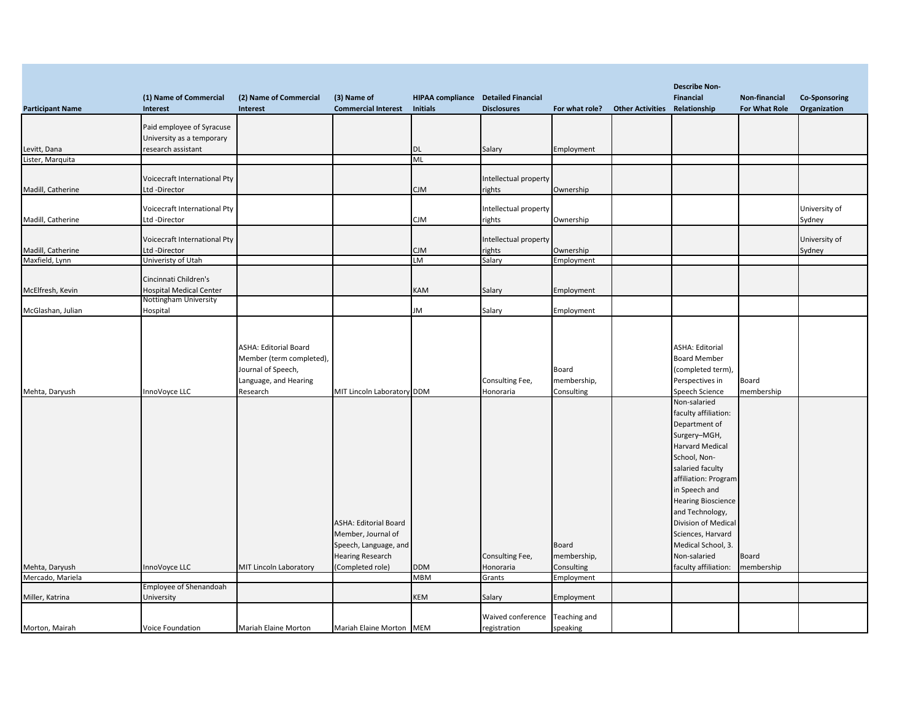|                         |                                              |                              |                                                  |                                            |                       |                |                         | <b>Describe Non-</b>                   |               |                         |
|-------------------------|----------------------------------------------|------------------------------|--------------------------------------------------|--------------------------------------------|-----------------------|----------------|-------------------------|----------------------------------------|---------------|-------------------------|
|                         | (1) Name of Commercial                       | (2) Name of Commercial       | (3) Name of                                      | <b>HIPAA compliance</b> Detailed Financial |                       |                |                         | Financial                              | Non-financial | <b>Co-Sponsoring</b>    |
| <b>Participant Name</b> | Interest                                     | Interest                     | <b>Commercial Interest</b>                       | <b>Initials</b>                            | <b>Disclosures</b>    | For what role? | <b>Other Activities</b> | Relationship                           | For What Role | Organization            |
|                         | Paid employee of Syracuse                    |                              |                                                  |                                            |                       |                |                         |                                        |               |                         |
|                         | University as a temporary                    |                              |                                                  |                                            |                       |                |                         |                                        |               |                         |
| Levitt, Dana            | research assistant                           |                              |                                                  | DL                                         | Salary                | Employment     |                         |                                        |               |                         |
| Lister, Marquita        |                                              |                              |                                                  | ML                                         |                       |                |                         |                                        |               |                         |
|                         |                                              |                              |                                                  |                                            |                       |                |                         |                                        |               |                         |
|                         | Voicecraft International Pty                 |                              |                                                  |                                            | Intellectual property |                |                         |                                        |               |                         |
| Madill, Catherine       | Ltd-Director                                 |                              |                                                  | CJM                                        | rights                | Ownership      |                         |                                        |               |                         |
|                         |                                              |                              |                                                  |                                            |                       |                |                         |                                        |               |                         |
|                         | Voicecraft International Pty<br>Ltd-Director |                              |                                                  | CJM                                        | Intellectual property | Ownership      |                         |                                        |               | University of<br>Sydney |
| Madill, Catherine       |                                              |                              |                                                  |                                            | rights                |                |                         |                                        |               |                         |
|                         | Voicecraft International Pty                 |                              |                                                  |                                            | Intellectual property |                |                         |                                        |               | University of           |
| Madill, Catherine       | Ltd-Director                                 |                              |                                                  | СJМ                                        | rights                | Ownership      |                         |                                        |               | Sydney                  |
| Maxfield, Lynn          | Univeristy of Utah                           |                              |                                                  | LМ                                         | Salary                | Employment     |                         |                                        |               |                         |
|                         |                                              |                              |                                                  |                                            |                       |                |                         |                                        |               |                         |
|                         | Cincinnati Children's                        |                              |                                                  |                                            |                       |                |                         |                                        |               |                         |
| McElfresh, Kevin        | <b>Hospital Medical Center</b>               |                              |                                                  | KAM                                        | Salary                | Employment     |                         |                                        |               |                         |
|                         | Nottingham University                        |                              |                                                  | JМ                                         |                       |                |                         |                                        |               |                         |
| McGlashan, Julian       | Hospital                                     |                              |                                                  |                                            | Salary                | Employment     |                         |                                        |               |                         |
|                         |                                              |                              |                                                  |                                            |                       |                |                         |                                        |               |                         |
|                         |                                              |                              |                                                  |                                            |                       |                |                         |                                        |               |                         |
|                         |                                              | <b>ASHA: Editorial Board</b> |                                                  |                                            |                       |                |                         | <b>ASHA: Editorial</b>                 |               |                         |
|                         |                                              | Member (term completed),     |                                                  |                                            |                       |                |                         | <b>Board Member</b>                    |               |                         |
|                         |                                              | Journal of Speech,           |                                                  |                                            |                       | Board          |                         | (completed term),                      |               |                         |
|                         |                                              | Language, and Hearing        |                                                  |                                            | Consulting Fee,       | membership,    |                         | Perspectives in                        | Board         |                         |
| Mehta, Daryush          | InnoVoyce LLC                                | Research                     | MIT Lincoln Laboratory DDM                       |                                            | Honoraria             | Consulting     |                         | Speech Science                         | membership    |                         |
|                         |                                              |                              |                                                  |                                            |                       |                |                         | Non-salaried                           |               |                         |
|                         |                                              |                              |                                                  |                                            |                       |                |                         | faculty affiliation:                   |               |                         |
|                         |                                              |                              |                                                  |                                            |                       |                |                         | Department of                          |               |                         |
|                         |                                              |                              |                                                  |                                            |                       |                |                         | Surgery-MGH,                           |               |                         |
|                         |                                              |                              |                                                  |                                            |                       |                |                         | <b>Harvard Medical</b>                 |               |                         |
|                         |                                              |                              |                                                  |                                            |                       |                |                         | School, Non-                           |               |                         |
|                         |                                              |                              |                                                  |                                            |                       |                |                         | salaried faculty                       |               |                         |
|                         |                                              |                              |                                                  |                                            |                       |                |                         | affiliation: Program                   |               |                         |
|                         |                                              |                              |                                                  |                                            |                       |                |                         | in Speech and                          |               |                         |
|                         |                                              |                              |                                                  |                                            |                       |                |                         | <b>Hearing Bioscience</b>              |               |                         |
|                         |                                              |                              | <b>ASHA: Editorial Board</b>                     |                                            |                       |                |                         | and Technology,<br>Division of Medical |               |                         |
|                         |                                              |                              | Member, Journal of                               |                                            |                       |                |                         | Sciences, Harvard                      |               |                         |
|                         |                                              |                              |                                                  |                                            |                       | Board          |                         | Medical School, 3.                     |               |                         |
|                         |                                              |                              | Speech, Language, and<br><b>Hearing Research</b> |                                            | Consulting Fee,       | membership,    |                         | Non-salaried                           | Board         |                         |
| Mehta, Daryush          | InnoVoyce LLC                                | MIT Lincoln Laboratory       | (Completed role)                                 | <b>DDM</b>                                 | Honoraria             | Consulting     |                         | faculty affiliation:                   | membership    |                         |
| Mercado, Mariela        |                                              |                              |                                                  | MBM                                        | Grants                | Employment     |                         |                                        |               |                         |
|                         | Employee of Shenandoah                       |                              |                                                  |                                            |                       |                |                         |                                        |               |                         |
| Miller, Katrina         | University                                   |                              |                                                  | KEM                                        | Salary                | Employment     |                         |                                        |               |                         |
|                         |                                              |                              |                                                  |                                            |                       |                |                         |                                        |               |                         |
|                         |                                              |                              |                                                  |                                            | Waived conference     | Teaching and   |                         |                                        |               |                         |
| Morton, Mairah          | <b>Voice Foundation</b>                      | Mariah Elaine Morton         | Mariah Elaine Morton MEM                         |                                            | registration          | speaking       |                         |                                        |               |                         |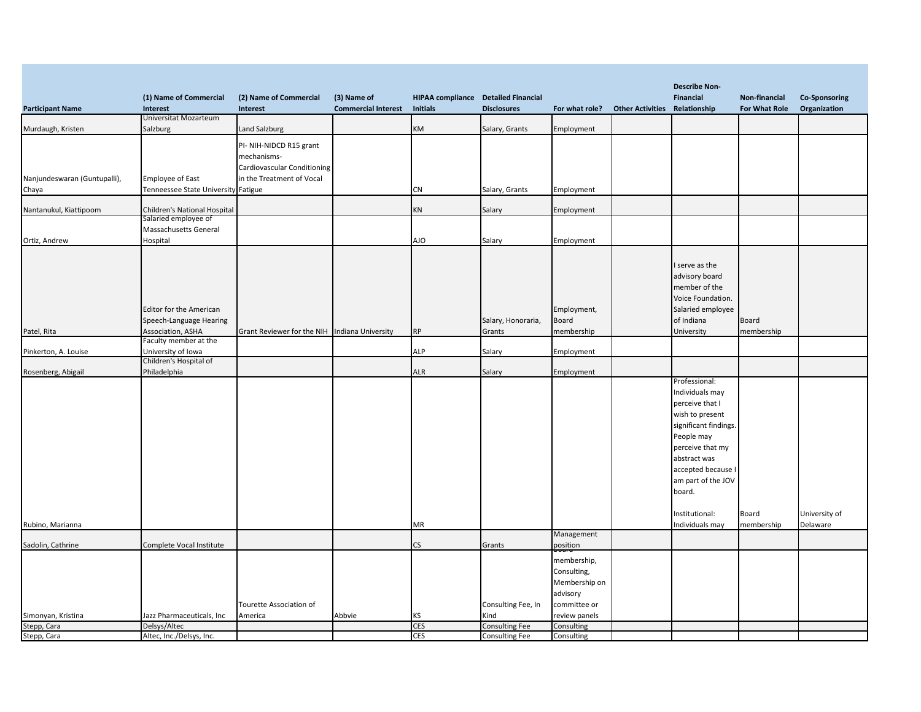|                              |                                            |                                               |                            |                                     |                       |                |                         | <b>Describe Non-</b>  |               |                      |
|------------------------------|--------------------------------------------|-----------------------------------------------|----------------------------|-------------------------------------|-----------------------|----------------|-------------------------|-----------------------|---------------|----------------------|
|                              | (1) Name of Commercial                     | (2) Name of Commercial                        | (3) Name of                | HIPAA compliance Detailed Financial |                       |                |                         | <b>Financial</b>      | Non-financial | <b>Co-Sponsoring</b> |
| <b>Participant Name</b>      | <b>Interest</b><br>Universitat Mozarteum   | Interest                                      | <b>Commercial Interest</b> | <b>Initials</b>                     | <b>Disclosures</b>    | For what role? | <b>Other Activities</b> | Relationship          | For What Role | Organization         |
| Murdaugh, Kristen            | Salzburg                                   | Land Salzburg                                 |                            | КM                                  | Salary, Grants        | Employment     |                         |                       |               |                      |
|                              |                                            |                                               |                            |                                     |                       |                |                         |                       |               |                      |
|                              |                                            | PI- NIH-NIDCD R15 grant                       |                            |                                     |                       |                |                         |                       |               |                      |
|                              |                                            | mechanisms-                                   |                            |                                     |                       |                |                         |                       |               |                      |
|                              |                                            | Cardiovascular Conditioning                   |                            |                                     |                       |                |                         |                       |               |                      |
| Nanjundeswaran (Guntupalli), | <b>Employee of East</b>                    | in the Treatment of Vocal                     |                            |                                     |                       |                |                         |                       |               |                      |
| Chaya                        | Tenneessee State University Fatigue        |                                               |                            | CN                                  | Salary, Grants        | Employment     |                         |                       |               |                      |
| Nantanukul, Kiattipoom       | Children's National Hospital               |                                               |                            | ΚN                                  | Salary                | Employment     |                         |                       |               |                      |
|                              | Salaried employee of                       |                                               |                            |                                     |                       |                |                         |                       |               |                      |
|                              | Massachusetts General                      |                                               |                            |                                     |                       |                |                         |                       |               |                      |
| Ortiz, Andrew                | Hospital                                   |                                               |                            | ΔJΟ                                 | Salary                | Employment     |                         |                       |               |                      |
|                              |                                            |                                               |                            |                                     |                       |                |                         |                       |               |                      |
|                              |                                            |                                               |                            |                                     |                       |                |                         | I serve as the        |               |                      |
|                              |                                            |                                               |                            |                                     |                       |                |                         | advisory board        |               |                      |
|                              |                                            |                                               |                            |                                     |                       |                |                         | member of the         |               |                      |
|                              |                                            |                                               |                            |                                     |                       |                |                         | Voice Foundation.     |               |                      |
|                              |                                            |                                               |                            |                                     |                       |                |                         |                       |               |                      |
|                              | <b>Editor for the American</b>             |                                               |                            |                                     |                       | Employment,    |                         | Salaried employee     |               |                      |
|                              | Speech-Language Hearing                    |                                               |                            |                                     | Salary, Honoraria,    | <b>Board</b>   |                         | of Indiana            | Board         |                      |
| Patel, Rita                  | Association, ASHA<br>Faculty member at the | Grant Reviewer for the NIH Indiana University |                            | <b>RP</b>                           | Grants                | membership     |                         | University            | membership    |                      |
| Pinkerton, A. Louise         | University of Iowa                         |                                               |                            | ALP                                 | Salary                | Employment     |                         |                       |               |                      |
|                              | Children's Hospital of                     |                                               |                            |                                     |                       |                |                         |                       |               |                      |
| Rosenberg, Abigail           | Philadelphia                               |                                               |                            | ALR                                 | Salary                | Employment     |                         |                       |               |                      |
|                              |                                            |                                               |                            |                                     |                       |                |                         | Professional:         |               |                      |
|                              |                                            |                                               |                            |                                     |                       |                |                         | Individuals may       |               |                      |
|                              |                                            |                                               |                            |                                     |                       |                |                         | perceive that I       |               |                      |
|                              |                                            |                                               |                            |                                     |                       |                |                         | wish to present       |               |                      |
|                              |                                            |                                               |                            |                                     |                       |                |                         | significant findings. |               |                      |
|                              |                                            |                                               |                            |                                     |                       |                |                         | People may            |               |                      |
|                              |                                            |                                               |                            |                                     |                       |                |                         | perceive that my      |               |                      |
|                              |                                            |                                               |                            |                                     |                       |                |                         | abstract was          |               |                      |
|                              |                                            |                                               |                            |                                     |                       |                |                         | accepted because      |               |                      |
|                              |                                            |                                               |                            |                                     |                       |                |                         | am part of the JOV    |               |                      |
|                              |                                            |                                               |                            |                                     |                       |                |                         | board.                |               |                      |
|                              |                                            |                                               |                            |                                     |                       |                |                         |                       |               |                      |
|                              |                                            |                                               |                            |                                     |                       |                |                         | Institutional:        | Board         | University of        |
| Rubino, Marianna             |                                            |                                               |                            | ΜR                                  |                       |                |                         | Individuals may       | membership    | Delaware             |
|                              |                                            |                                               |                            |                                     |                       | Management     |                         |                       |               |                      |
| Sadolin, Cathrine            | Complete Vocal Institute                   |                                               |                            | CS.                                 | Grants                | position       |                         |                       |               |                      |
|                              |                                            |                                               |                            |                                     |                       | membership,    |                         |                       |               |                      |
|                              |                                            |                                               |                            |                                     |                       | Consulting,    |                         |                       |               |                      |
|                              |                                            |                                               |                            |                                     |                       | Membership on  |                         |                       |               |                      |
|                              |                                            |                                               |                            |                                     |                       | advisory       |                         |                       |               |                      |
|                              |                                            | Tourette Association of                       |                            |                                     | Consulting Fee, In    | committee or   |                         |                       |               |                      |
| Simonyan, Kristina           | Jazz Pharmaceuticals, Inc                  | America                                       | Abbvie                     | κs                                  | Kind                  | review panels  |                         |                       |               |                      |
| Stepp, Cara                  | Delsys/Altec                               |                                               |                            | <b>CES</b>                          | Consulting Fee        | Consulting     |                         |                       |               |                      |
| Stepp, Cara                  | Altec, Inc./Delsys, Inc.                   |                                               |                            | <b>CES</b>                          | <b>Consulting Fee</b> | Consulting     |                         |                       |               |                      |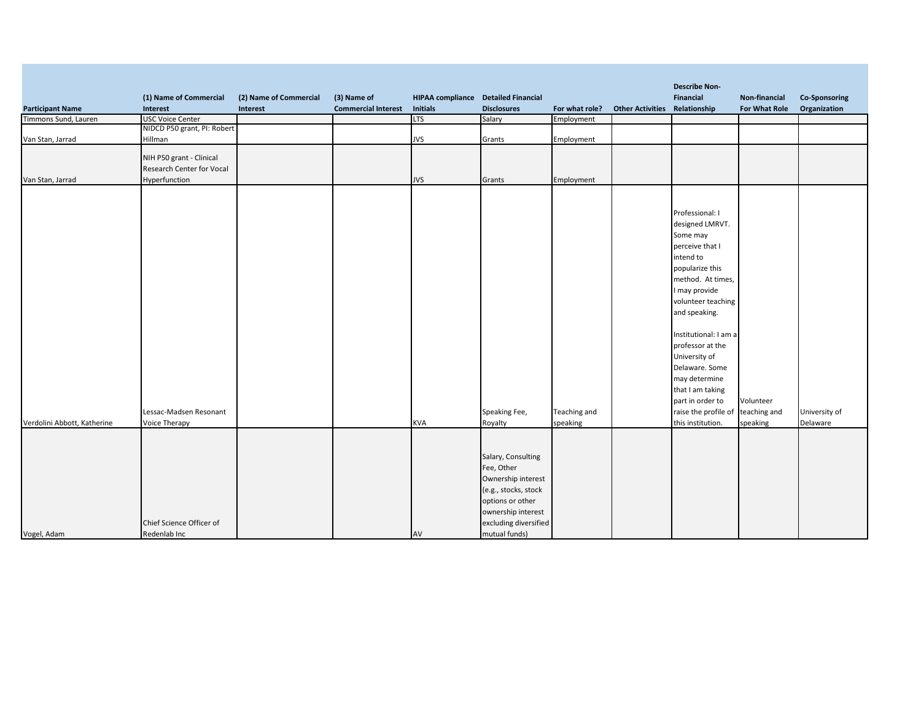|                             |                                  |                        |                            |                                            |                       |                |                                      | <b>Describe Non-</b>  |               |                      |
|-----------------------------|----------------------------------|------------------------|----------------------------|--------------------------------------------|-----------------------|----------------|--------------------------------------|-----------------------|---------------|----------------------|
|                             | (1) Name of Commercial           | (2) Name of Commercial | (3) Name of                | <b>HIPAA compliance</b> Detailed Financial |                       |                |                                      | Financial             | Non-financial | <b>Co-Sponsoring</b> |
| <b>Participant Name</b>     | Interest                         | Interest               | <b>Commercial Interest</b> | <b>Initials</b>                            | <b>Disclosures</b>    | For what role? | <b>Other Activities Relationship</b> |                       | For What Role | Organization         |
| Timmons Sund, Lauren        | <b>USC Voice Center</b>          |                        |                            | <b>LTS</b>                                 | Salary                | Employment     |                                      |                       |               |                      |
|                             | NIDCD P50 grant, PI: Robert      |                        |                            |                                            |                       |                |                                      |                       |               |                      |
| Van Stan, Jarrad            | Hillman                          |                        |                            | <b>JVS</b>                                 | Grants                | Employment     |                                      |                       |               |                      |
|                             | NIH P50 grant - Clinical         |                        |                            |                                            |                       |                |                                      |                       |               |                      |
|                             | <b>Research Center for Vocal</b> |                        |                            |                                            |                       |                |                                      |                       |               |                      |
| Van Stan, Jarrad            | Hyperfunction                    |                        |                            | <b>JVS</b>                                 | Grants                | Employment     |                                      |                       |               |                      |
|                             |                                  |                        |                            |                                            |                       |                |                                      |                       |               |                      |
|                             |                                  |                        |                            |                                            |                       |                |                                      |                       |               |                      |
|                             |                                  |                        |                            |                                            |                       |                |                                      |                       |               |                      |
|                             |                                  |                        |                            |                                            |                       |                |                                      | Professional: I       |               |                      |
|                             |                                  |                        |                            |                                            |                       |                |                                      | designed LMRVT.       |               |                      |
|                             |                                  |                        |                            |                                            |                       |                |                                      | Some may              |               |                      |
|                             |                                  |                        |                            |                                            |                       |                |                                      | perceive that I       |               |                      |
|                             |                                  |                        |                            |                                            |                       |                |                                      | intend to             |               |                      |
|                             |                                  |                        |                            |                                            |                       |                |                                      | popularize this       |               |                      |
|                             |                                  |                        |                            |                                            |                       |                |                                      | method. At times,     |               |                      |
|                             |                                  |                        |                            |                                            |                       |                |                                      |                       |               |                      |
|                             |                                  |                        |                            |                                            |                       |                |                                      | I may provide         |               |                      |
|                             |                                  |                        |                            |                                            |                       |                |                                      | volunteer teaching    |               |                      |
|                             |                                  |                        |                            |                                            |                       |                |                                      | and speaking.         |               |                      |
|                             |                                  |                        |                            |                                            |                       |                |                                      | Institutional: I am a |               |                      |
|                             |                                  |                        |                            |                                            |                       |                |                                      | professor at the      |               |                      |
|                             |                                  |                        |                            |                                            |                       |                |                                      |                       |               |                      |
|                             |                                  |                        |                            |                                            |                       |                |                                      | University of         |               |                      |
|                             |                                  |                        |                            |                                            |                       |                |                                      | Delaware. Some        |               |                      |
|                             |                                  |                        |                            |                                            |                       |                |                                      | may determine         |               |                      |
|                             |                                  |                        |                            |                                            |                       |                |                                      | that I am taking      |               |                      |
|                             |                                  |                        |                            |                                            |                       |                |                                      | part in order to      | Volunteer     |                      |
|                             | Lessac-Madsen Resonant           |                        |                            |                                            | Speaking Fee,         | Teaching and   |                                      | raise the profile of  | teaching and  | University of        |
| Verdolini Abbott, Katherine | Voice Therapy                    |                        |                            | <b>KVA</b>                                 | Royalty               | speaking       |                                      | this institution.     | speaking      | Delaware             |
|                             |                                  |                        |                            |                                            |                       |                |                                      |                       |               |                      |
|                             |                                  |                        |                            |                                            |                       |                |                                      |                       |               |                      |
|                             |                                  |                        |                            |                                            | Salary, Consulting    |                |                                      |                       |               |                      |
|                             |                                  |                        |                            |                                            | Fee, Other            |                |                                      |                       |               |                      |
|                             |                                  |                        |                            |                                            | Ownership interest    |                |                                      |                       |               |                      |
|                             |                                  |                        |                            |                                            |                       |                |                                      |                       |               |                      |
|                             |                                  |                        |                            |                                            | (e.g., stocks, stock  |                |                                      |                       |               |                      |
|                             |                                  |                        |                            |                                            | options or other      |                |                                      |                       |               |                      |
|                             |                                  |                        |                            |                                            | ownership interest    |                |                                      |                       |               |                      |
|                             | Chief Science Officer of         |                        |                            |                                            | excluding diversified |                |                                      |                       |               |                      |
| Vogel, Adam                 | Redenlab Inc                     |                        |                            | AV                                         | mutual funds)         |                |                                      |                       |               |                      |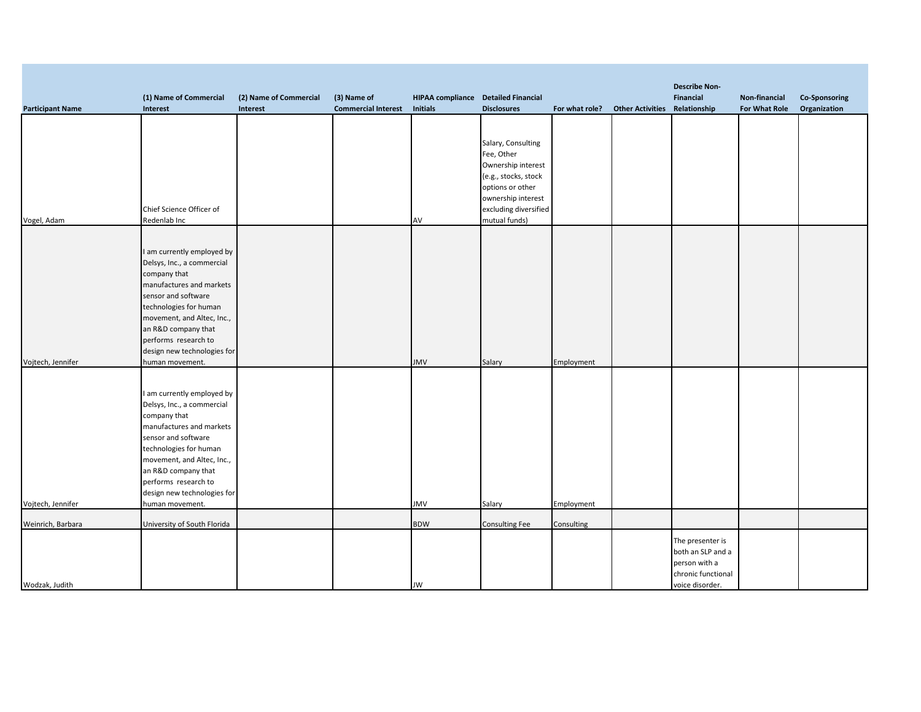|                         |                                             |                        |                            |                                            |                       |                |                                      | <b>Describe Non-</b> |               |                      |
|-------------------------|---------------------------------------------|------------------------|----------------------------|--------------------------------------------|-----------------------|----------------|--------------------------------------|----------------------|---------------|----------------------|
|                         | (1) Name of Commercial                      | (2) Name of Commercial | (3) Name of                | <b>HIPAA compliance</b> Detailed Financial |                       |                |                                      | Financial            | Non-financial | <b>Co-Sponsoring</b> |
| <b>Participant Name</b> | Interest                                    | Interest               | <b>Commercial Interest</b> | <b>Initials</b>                            | <b>Disclosures</b>    | For what role? | <b>Other Activities Relationship</b> |                      | For What Role | Organization         |
|                         |                                             |                        |                            |                                            |                       |                |                                      |                      |               |                      |
|                         |                                             |                        |                            |                                            | Salary, Consulting    |                |                                      |                      |               |                      |
|                         |                                             |                        |                            |                                            | Fee, Other            |                |                                      |                      |               |                      |
|                         |                                             |                        |                            |                                            | Ownership interest    |                |                                      |                      |               |                      |
|                         |                                             |                        |                            |                                            | (e.g., stocks, stock  |                |                                      |                      |               |                      |
|                         |                                             |                        |                            |                                            | options or other      |                |                                      |                      |               |                      |
|                         |                                             |                        |                            |                                            | ownership interest    |                |                                      |                      |               |                      |
|                         | Chief Science Officer of                    |                        |                            |                                            | excluding diversified |                |                                      |                      |               |                      |
| Vogel, Adam             | Redenlab Inc                                |                        |                            | AV                                         | mutual funds)         |                |                                      |                      |               |                      |
|                         |                                             |                        |                            |                                            |                       |                |                                      |                      |               |                      |
|                         | I am currently employed by                  |                        |                            |                                            |                       |                |                                      |                      |               |                      |
|                         | Delsys, Inc., a commercial                  |                        |                            |                                            |                       |                |                                      |                      |               |                      |
|                         | company that                                |                        |                            |                                            |                       |                |                                      |                      |               |                      |
|                         | manufactures and markets                    |                        |                            |                                            |                       |                |                                      |                      |               |                      |
|                         | sensor and software                         |                        |                            |                                            |                       |                |                                      |                      |               |                      |
|                         | technologies for human                      |                        |                            |                                            |                       |                |                                      |                      |               |                      |
|                         | movement, and Altec, Inc.,                  |                        |                            |                                            |                       |                |                                      |                      |               |                      |
|                         | an R&D company that<br>performs research to |                        |                            |                                            |                       |                |                                      |                      |               |                      |
|                         | design new technologies for                 |                        |                            |                                            |                       |                |                                      |                      |               |                      |
| Vojtech, Jennifer       | human movement.                             |                        |                            | <b>JMV</b>                                 | Salary                | Employment     |                                      |                      |               |                      |
|                         |                                             |                        |                            |                                            |                       |                |                                      |                      |               |                      |
|                         |                                             |                        |                            |                                            |                       |                |                                      |                      |               |                      |
|                         | I am currently employed by                  |                        |                            |                                            |                       |                |                                      |                      |               |                      |
|                         | Delsys, Inc., a commercial                  |                        |                            |                                            |                       |                |                                      |                      |               |                      |
|                         | company that<br>manufactures and markets    |                        |                            |                                            |                       |                |                                      |                      |               |                      |
|                         | sensor and software                         |                        |                            |                                            |                       |                |                                      |                      |               |                      |
|                         | technologies for human                      |                        |                            |                                            |                       |                |                                      |                      |               |                      |
|                         | movement, and Altec, Inc.,                  |                        |                            |                                            |                       |                |                                      |                      |               |                      |
|                         | an R&D company that                         |                        |                            |                                            |                       |                |                                      |                      |               |                      |
|                         | performs research to                        |                        |                            |                                            |                       |                |                                      |                      |               |                      |
|                         | design new technologies for                 |                        |                            |                                            |                       |                |                                      |                      |               |                      |
| Vojtech, Jennifer       | human movement.                             |                        |                            | <b>JMV</b>                                 | Salary                | Employment     |                                      |                      |               |                      |
| Weinrich, Barbara       | University of South Florida                 |                        |                            | <b>BDW</b>                                 | <b>Consulting Fee</b> | Consulting     |                                      |                      |               |                      |
|                         |                                             |                        |                            |                                            |                       |                |                                      | The presenter is     |               |                      |
|                         |                                             |                        |                            |                                            |                       |                |                                      | both an SLP and a    |               |                      |
|                         |                                             |                        |                            |                                            |                       |                |                                      | person with a        |               |                      |
|                         |                                             |                        |                            |                                            |                       |                |                                      | chronic functional   |               |                      |
| Wodzak, Judith          |                                             |                        |                            | JW                                         |                       |                |                                      | voice disorder.      |               |                      |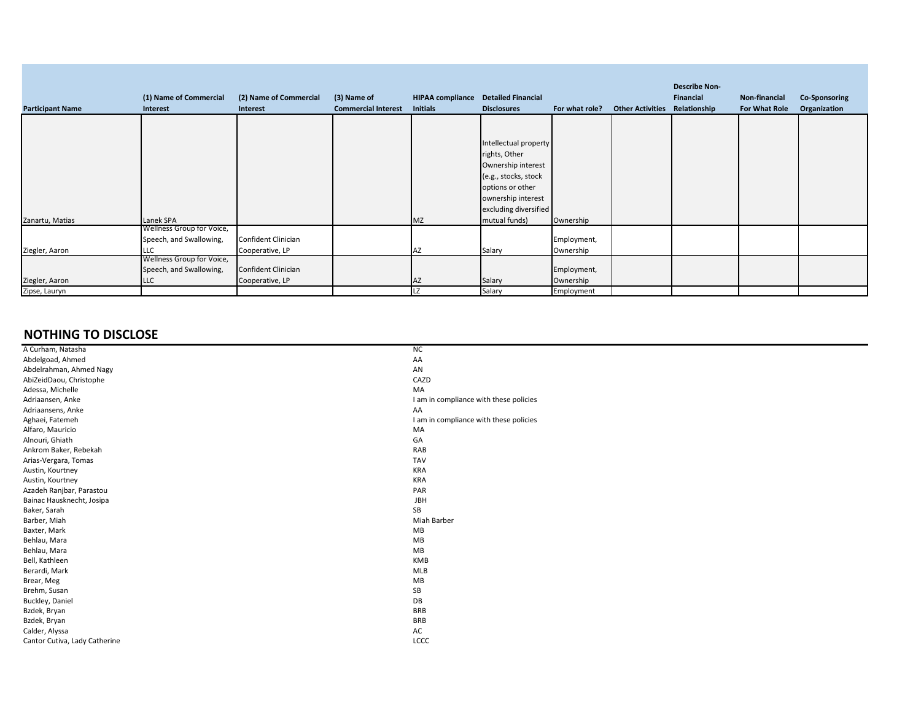| <b>Participant Name</b> | (1) Name of Commercial<br>Interest                                 | (2) Name of Commercial<br>Interest     | (3) Name of<br><b>Commercial Interest</b> | <b>HIPAA compliance</b><br><b>Initials</b> | <b>Detailed Financial</b><br><b>Disclosures</b>                                                                                                                          | For what role?           | <b>Other Activities</b> | <b>Describe Non-</b><br>Financial<br>Relationship | Non-financial<br>For What Role | Co-Sponsoring<br>Organization |
|-------------------------|--------------------------------------------------------------------|----------------------------------------|-------------------------------------------|--------------------------------------------|--------------------------------------------------------------------------------------------------------------------------------------------------------------------------|--------------------------|-------------------------|---------------------------------------------------|--------------------------------|-------------------------------|
|                         |                                                                    |                                        |                                           |                                            |                                                                                                                                                                          |                          |                         |                                                   |                                |                               |
| Zanartu, Matias         | Lanek SPA                                                          |                                        |                                           | ΜZ                                         | Intellectual property<br>rights, Other<br>Ownership interest<br>(e.g., stocks, stock<br>options or other<br>ownership interest<br>excluding diversified<br>mutual funds) | Ownership                |                         |                                                   |                                |                               |
|                         | Wellness Group for Voice,<br>Speech, and Swallowing,               | Confident Clinician                    |                                           |                                            |                                                                                                                                                                          | Employment,              |                         |                                                   |                                |                               |
| Ziegler, Aaron          | <b>LLC</b>                                                         | Cooperative, LP                        |                                           | ΑZ                                         | Salary                                                                                                                                                                   | Ownership                |                         |                                                   |                                |                               |
| Ziegler, Aaron          | Wellness Group for Voice,<br>Speech, and Swallowing,<br><b>LLC</b> | Confident Clinician<br>Cooperative, LP |                                           | AZ                                         | Salary                                                                                                                                                                   | Employment,<br>Ownership |                         |                                                   |                                |                               |
| Zipse, Lauryn           |                                                                    |                                        |                                           | LZ                                         | Salary                                                                                                                                                                   | Employment               |                         |                                                   |                                |                               |

## **NOTHING TO DISCLOSE**

| A Curham, Natasha             | ΝC                                     |
|-------------------------------|----------------------------------------|
| Abdelgoad, Ahmed              | AA                                     |
| Abdelrahman, Ahmed Nagy       | AN                                     |
| AbiZeidDaou, Christophe       | CAZD                                   |
| Adessa, Michelle              | MA                                     |
| Adriaansen, Anke              | I am in compliance with these policies |
| Adriaansens, Anke             | AA                                     |
| Aghaei, Fatemeh               | I am in compliance with these policies |
| Alfaro, Mauricio              | MA                                     |
| Alnouri, Ghiath               | GA                                     |
| Ankrom Baker, Rebekah         | RAB                                    |
| Arias-Vergara, Tomas          | <b>TAV</b>                             |
| Austin, Kourtney              | <b>KRA</b>                             |
| Austin, Kourtney              | <b>KRA</b>                             |
| Azadeh Ranjbar, Parastou      | PAR                                    |
| Bainac Hausknecht, Josipa     | JBH                                    |
| Baker, Sarah                  | SB                                     |
| Barber, Miah                  | Miah Barber                            |
| Baxter, Mark                  | MB                                     |
| Behlau, Mara                  | MB                                     |
| Behlau, Mara                  | MB                                     |
| Bell, Kathleen                | KMB                                    |
| Berardi, Mark                 | MLB                                    |
| Brear, Meg                    | MB                                     |
| Brehm, Susan                  | SB                                     |
| Buckley, Daniel               | DB                                     |
| Bzdek, Bryan                  | <b>BRB</b>                             |
| Bzdek, Bryan                  | <b>BRB</b>                             |
| Calder, Alyssa                | AC                                     |
| Cantor Cutiva, Lady Catherine | LCCC                                   |
|                               |                                        |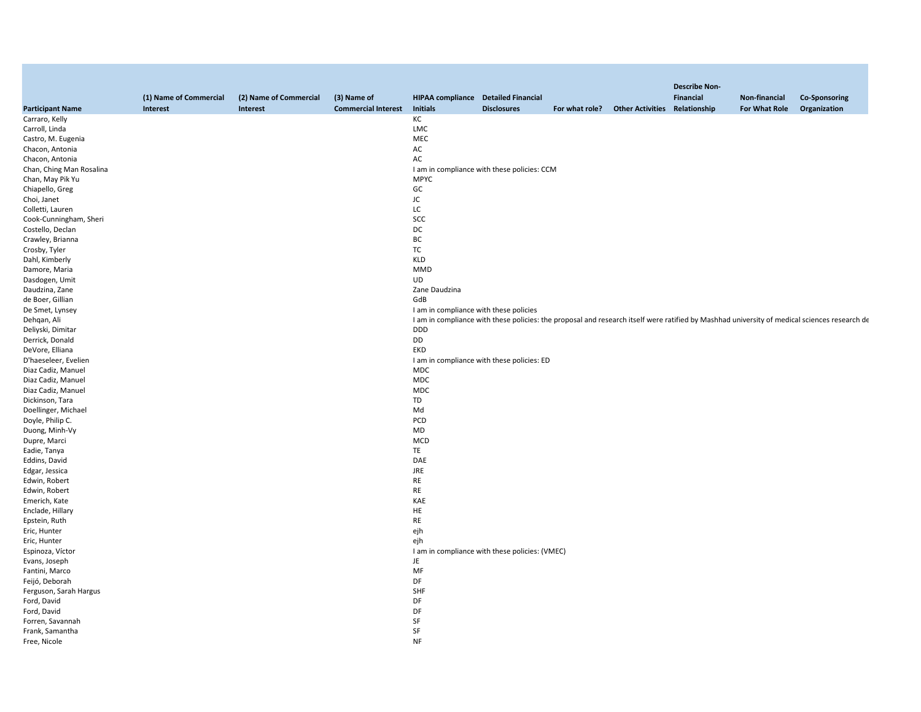|                          |                        |                        |                            |                                            |                                                                                                                                              |                |                                      | <b>Describe Non-</b> |               |                      |
|--------------------------|------------------------|------------------------|----------------------------|--------------------------------------------|----------------------------------------------------------------------------------------------------------------------------------------------|----------------|--------------------------------------|----------------------|---------------|----------------------|
|                          | (1) Name of Commercial | (2) Name of Commercial | (3) Name of                | <b>HIPAA compliance</b> Detailed Financial |                                                                                                                                              |                |                                      | <b>Financial</b>     | Non-financial | <b>Co-Sponsoring</b> |
| <b>Participant Name</b>  | Interest               | Interest               | <b>Commercial Interest</b> | <b>Initials</b>                            | <b>Disclosures</b>                                                                                                                           | For what role? | <b>Other Activities Relationship</b> |                      | For What Role | Organization         |
| Carraro, Kelly           |                        |                        |                            | КC                                         |                                                                                                                                              |                |                                      |                      |               |                      |
| Carroll, Linda           |                        |                        |                            | LMC                                        |                                                                                                                                              |                |                                      |                      |               |                      |
| Castro, M. Eugenia       |                        |                        |                            | MEC                                        |                                                                                                                                              |                |                                      |                      |               |                      |
| Chacon, Antonia          |                        |                        |                            | AC                                         |                                                                                                                                              |                |                                      |                      |               |                      |
| Chacon, Antonia          |                        |                        |                            | AC                                         |                                                                                                                                              |                |                                      |                      |               |                      |
| Chan, Ching Man Rosalina |                        |                        |                            |                                            | I am in compliance with these policies: CCM                                                                                                  |                |                                      |                      |               |                      |
| Chan, May Pik Yu         |                        |                        |                            | <b>MPYC</b>                                |                                                                                                                                              |                |                                      |                      |               |                      |
| Chiapello, Greg          |                        |                        |                            | GC                                         |                                                                                                                                              |                |                                      |                      |               |                      |
| Choi, Janet              |                        |                        |                            | JC                                         |                                                                                                                                              |                |                                      |                      |               |                      |
| Colletti, Lauren         |                        |                        |                            | LC                                         |                                                                                                                                              |                |                                      |                      |               |                      |
| Cook-Cunningham, Sheri   |                        |                        |                            | SCC                                        |                                                                                                                                              |                |                                      |                      |               |                      |
| Costello, Declan         |                        |                        |                            | DC                                         |                                                                                                                                              |                |                                      |                      |               |                      |
| Crawley, Brianna         |                        |                        |                            | ВC                                         |                                                                                                                                              |                |                                      |                      |               |                      |
| Crosby, Tyler            |                        |                        |                            | TC                                         |                                                                                                                                              |                |                                      |                      |               |                      |
|                          |                        |                        |                            | <b>KLD</b>                                 |                                                                                                                                              |                |                                      |                      |               |                      |
| Dahl, Kimberly           |                        |                        |                            |                                            |                                                                                                                                              |                |                                      |                      |               |                      |
| Damore, Maria            |                        |                        |                            | MMD                                        |                                                                                                                                              |                |                                      |                      |               |                      |
| Dasdogen, Umit           |                        |                        |                            | <b>UD</b>                                  |                                                                                                                                              |                |                                      |                      |               |                      |
| Daudzina, Zane           |                        |                        |                            | Zane Daudzina                              |                                                                                                                                              |                |                                      |                      |               |                      |
| de Boer, Gillian         |                        |                        |                            | GdB                                        |                                                                                                                                              |                |                                      |                      |               |                      |
| De Smet, Lynsey          |                        |                        |                            | I am in compliance with these policies     |                                                                                                                                              |                |                                      |                      |               |                      |
| Dehqan, Ali              |                        |                        |                            |                                            | I am in compliance with these policies: the proposal and research itself were ratified by Mashhad university of medical sciences research de |                |                                      |                      |               |                      |
| Deliyski, Dimitar        |                        |                        |                            | DDD                                        |                                                                                                                                              |                |                                      |                      |               |                      |
| Derrick, Donald          |                        |                        |                            | DD                                         |                                                                                                                                              |                |                                      |                      |               |                      |
| DeVore, Elliana          |                        |                        |                            | EKD                                        |                                                                                                                                              |                |                                      |                      |               |                      |
| D'haeseleer, Evelien     |                        |                        |                            |                                            | I am in compliance with these policies: ED                                                                                                   |                |                                      |                      |               |                      |
| Diaz Cadiz, Manuel       |                        |                        |                            | <b>MDC</b>                                 |                                                                                                                                              |                |                                      |                      |               |                      |
| Diaz Cadiz, Manuel       |                        |                        |                            | <b>MDC</b>                                 |                                                                                                                                              |                |                                      |                      |               |                      |
| Diaz Cadiz, Manuel       |                        |                        |                            | <b>MDC</b>                                 |                                                                                                                                              |                |                                      |                      |               |                      |
| Dickinson, Tara          |                        |                        |                            | TD                                         |                                                                                                                                              |                |                                      |                      |               |                      |
| Doellinger, Michael      |                        |                        |                            | Md                                         |                                                                                                                                              |                |                                      |                      |               |                      |
| Doyle, Philip C.         |                        |                        |                            | PCD                                        |                                                                                                                                              |                |                                      |                      |               |                      |
| Duong, Minh-Vy           |                        |                        |                            | MD                                         |                                                                                                                                              |                |                                      |                      |               |                      |
| Dupre, Marci             |                        |                        |                            | MCD                                        |                                                                                                                                              |                |                                      |                      |               |                      |
| Eadie, Tanya             |                        |                        |                            | TE                                         |                                                                                                                                              |                |                                      |                      |               |                      |
| Eddins, David            |                        |                        |                            | DAE                                        |                                                                                                                                              |                |                                      |                      |               |                      |
| Edgar, Jessica           |                        |                        |                            | JRE                                        |                                                                                                                                              |                |                                      |                      |               |                      |
| Edwin, Robert            |                        |                        |                            | RE                                         |                                                                                                                                              |                |                                      |                      |               |                      |
| Edwin, Robert            |                        |                        |                            | <b>RE</b>                                  |                                                                                                                                              |                |                                      |                      |               |                      |
| Emerich, Kate            |                        |                        |                            | KAE                                        |                                                                                                                                              |                |                                      |                      |               |                      |
| Enclade, Hillary         |                        |                        |                            | HE                                         |                                                                                                                                              |                |                                      |                      |               |                      |
| Epstein, Ruth            |                        |                        |                            | RE                                         |                                                                                                                                              |                |                                      |                      |               |                      |
| Eric, Hunter             |                        |                        |                            | ejh                                        |                                                                                                                                              |                |                                      |                      |               |                      |
| Eric, Hunter             |                        |                        |                            | ejh                                        |                                                                                                                                              |                |                                      |                      |               |                      |
| Espinoza, Víctor         |                        |                        |                            |                                            | I am in compliance with these policies: (VMEC)                                                                                               |                |                                      |                      |               |                      |
| Evans, Joseph            |                        |                        |                            | JE                                         |                                                                                                                                              |                |                                      |                      |               |                      |
| Fantini, Marco           |                        |                        |                            | MF                                         |                                                                                                                                              |                |                                      |                      |               |                      |
| Feijó, Deborah           |                        |                        |                            | DF                                         |                                                                                                                                              |                |                                      |                      |               |                      |
| Ferguson, Sarah Hargus   |                        |                        |                            | SHF                                        |                                                                                                                                              |                |                                      |                      |               |                      |
| Ford, David              |                        |                        |                            | DF                                         |                                                                                                                                              |                |                                      |                      |               |                      |
| Ford, David              |                        |                        |                            | DF                                         |                                                                                                                                              |                |                                      |                      |               |                      |
| Forren, Savannah         |                        |                        |                            | SF                                         |                                                                                                                                              |                |                                      |                      |               |                      |
| Frank, Samantha          |                        |                        |                            | SF                                         |                                                                                                                                              |                |                                      |                      |               |                      |
| Free, Nicole             |                        |                        |                            | <b>NF</b>                                  |                                                                                                                                              |                |                                      |                      |               |                      |
|                          |                        |                        |                            |                                            |                                                                                                                                              |                |                                      |                      |               |                      |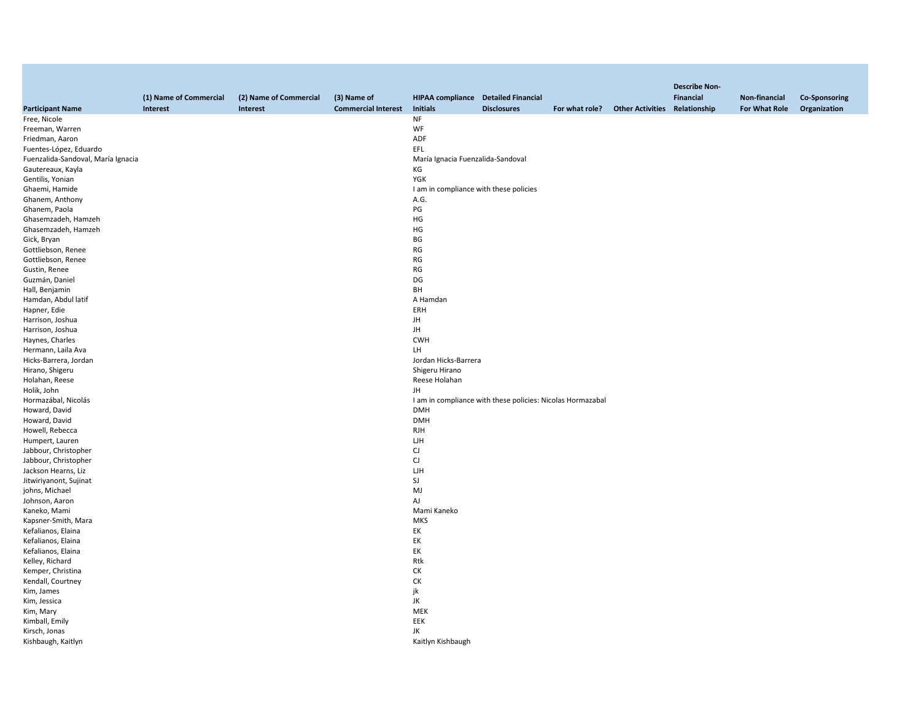|                                    |                        |                        |                            |                                            |                                                            |                                              | <b>Describe Non-</b> |               |                      |
|------------------------------------|------------------------|------------------------|----------------------------|--------------------------------------------|------------------------------------------------------------|----------------------------------------------|----------------------|---------------|----------------------|
|                                    | (1) Name of Commercial | (2) Name of Commercial | (3) Name of                | <b>HIPAA compliance</b> Detailed Financial |                                                            |                                              | Financial            | Non-financial | <b>Co-Sponsoring</b> |
| <b>Participant Name</b>            | Interest               | Interest               | <b>Commercial Interest</b> | <b>Initials</b>                            | <b>Disclosures</b>                                         | For what role? Other Activities Relationship |                      | For What Role | Organization         |
| Free, Nicole                       |                        |                        |                            | NF                                         |                                                            |                                              |                      |               |                      |
| Freeman, Warren                    |                        |                        |                            | WF                                         |                                                            |                                              |                      |               |                      |
| Friedman, Aaron                    |                        |                        |                            | ADF                                        |                                                            |                                              |                      |               |                      |
| Fuentes-López, Eduardo             |                        |                        |                            | EFL                                        |                                                            |                                              |                      |               |                      |
| Fuenzalida-Sandoval, María Ignacia |                        |                        |                            | María Ignacia Fuenzalida-Sandoval          |                                                            |                                              |                      |               |                      |
| Gautereaux, Kayla                  |                        |                        |                            | КG                                         |                                                            |                                              |                      |               |                      |
| Gentilis, Yonian                   |                        |                        |                            | YGK                                        |                                                            |                                              |                      |               |                      |
| Ghaemi, Hamide                     |                        |                        |                            | I am in compliance with these policies     |                                                            |                                              |                      |               |                      |
| Ghanem, Anthony                    |                        |                        |                            | A.G.                                       |                                                            |                                              |                      |               |                      |
| Ghanem, Paola                      |                        |                        |                            | PG                                         |                                                            |                                              |                      |               |                      |
| Ghasemzadeh, Hamzeh                |                        |                        |                            | HG                                         |                                                            |                                              |                      |               |                      |
| Ghasemzadeh, Hamzeh                |                        |                        |                            | HG                                         |                                                            |                                              |                      |               |                      |
| Gick, Bryan                        |                        |                        |                            | BG                                         |                                                            |                                              |                      |               |                      |
| Gottliebson, Renee                 |                        |                        |                            | RG                                         |                                                            |                                              |                      |               |                      |
| Gottliebson, Renee                 |                        |                        |                            | RG                                         |                                                            |                                              |                      |               |                      |
| Gustin, Renee                      |                        |                        |                            | RG                                         |                                                            |                                              |                      |               |                      |
| Guzmán, Daniel                     |                        |                        |                            | DG                                         |                                                            |                                              |                      |               |                      |
| Hall, Benjamin                     |                        |                        |                            | BH                                         |                                                            |                                              |                      |               |                      |
| Hamdan, Abdul latif                |                        |                        |                            | A Hamdan                                   |                                                            |                                              |                      |               |                      |
| Hapner, Edie                       |                        |                        |                            | ERH                                        |                                                            |                                              |                      |               |                      |
| Harrison, Joshua                   |                        |                        |                            | JH                                         |                                                            |                                              |                      |               |                      |
| Harrison, Joshua                   |                        |                        |                            | JH                                         |                                                            |                                              |                      |               |                      |
| Haynes, Charles                    |                        |                        |                            | <b>CWH</b>                                 |                                                            |                                              |                      |               |                      |
| Hermann, Laila Ava                 |                        |                        |                            | LH                                         |                                                            |                                              |                      |               |                      |
| Hicks-Barrera, Jordan              |                        |                        |                            | Jordan Hicks-Barrera                       |                                                            |                                              |                      |               |                      |
| Hirano, Shigeru                    |                        |                        |                            | Shigeru Hirano                             |                                                            |                                              |                      |               |                      |
| Holahan, Reese                     |                        |                        |                            | Reese Holahan                              |                                                            |                                              |                      |               |                      |
| Holik, John                        |                        |                        |                            | JH                                         |                                                            |                                              |                      |               |                      |
| Hormazábal, Nicolás                |                        |                        |                            |                                            | I am in compliance with these policies: Nicolas Hormazabal |                                              |                      |               |                      |
| Howard, David                      |                        |                        |                            | <b>DMH</b>                                 |                                                            |                                              |                      |               |                      |
| Howard, David                      |                        |                        |                            | <b>DMH</b>                                 |                                                            |                                              |                      |               |                      |
| Howell, Rebecca                    |                        |                        |                            | <b>RJH</b>                                 |                                                            |                                              |                      |               |                      |
| Humpert, Lauren                    |                        |                        |                            | LJН                                        |                                                            |                                              |                      |               |                      |
| Jabbour, Christopher               |                        |                        |                            | CJ                                         |                                                            |                                              |                      |               |                      |
| Jabbour, Christopher               |                        |                        |                            | CJ                                         |                                                            |                                              |                      |               |                      |
| Jackson Hearns, Liz                |                        |                        |                            | LJН                                        |                                                            |                                              |                      |               |                      |
|                                    |                        |                        |                            |                                            |                                                            |                                              |                      |               |                      |
| Jitwiriyanont, Sujinat             |                        |                        |                            | SJ<br>MJ                                   |                                                            |                                              |                      |               |                      |
| johns, Michael                     |                        |                        |                            | AJ                                         |                                                            |                                              |                      |               |                      |
| Johnson, Aaron                     |                        |                        |                            |                                            |                                                            |                                              |                      |               |                      |
| Kaneko, Mami                       |                        |                        |                            | Mami Kaneko                                |                                                            |                                              |                      |               |                      |
| Kapsner-Smith, Mara                |                        |                        |                            | <b>MKS</b>                                 |                                                            |                                              |                      |               |                      |
| Kefalianos, Elaina                 |                        |                        |                            | EK                                         |                                                            |                                              |                      |               |                      |
| Kefalianos, Elaina                 |                        |                        |                            | EK                                         |                                                            |                                              |                      |               |                      |
| Kefalianos, Elaina                 |                        |                        |                            | EK                                         |                                                            |                                              |                      |               |                      |
| Kelley, Richard                    |                        |                        |                            | Rtk                                        |                                                            |                                              |                      |               |                      |
| Kemper, Christina                  |                        |                        |                            | СK                                         |                                                            |                                              |                      |               |                      |
| Kendall, Courtney                  |                        |                        |                            | СK                                         |                                                            |                                              |                      |               |                      |
| Kim, James                         |                        |                        |                            | jk                                         |                                                            |                                              |                      |               |                      |
| Kim, Jessica                       |                        |                        |                            | JK                                         |                                                            |                                              |                      |               |                      |
| Kim, Mary                          |                        |                        |                            | MEK                                        |                                                            |                                              |                      |               |                      |
| Kimball, Emily                     |                        |                        |                            | EEK                                        |                                                            |                                              |                      |               |                      |
| Kirsch, Jonas                      |                        |                        |                            | JK                                         |                                                            |                                              |                      |               |                      |
| Kishbaugh, Kaitlyn                 |                        |                        |                            | Kaitlyn Kishbaugh                          |                                                            |                                              |                      |               |                      |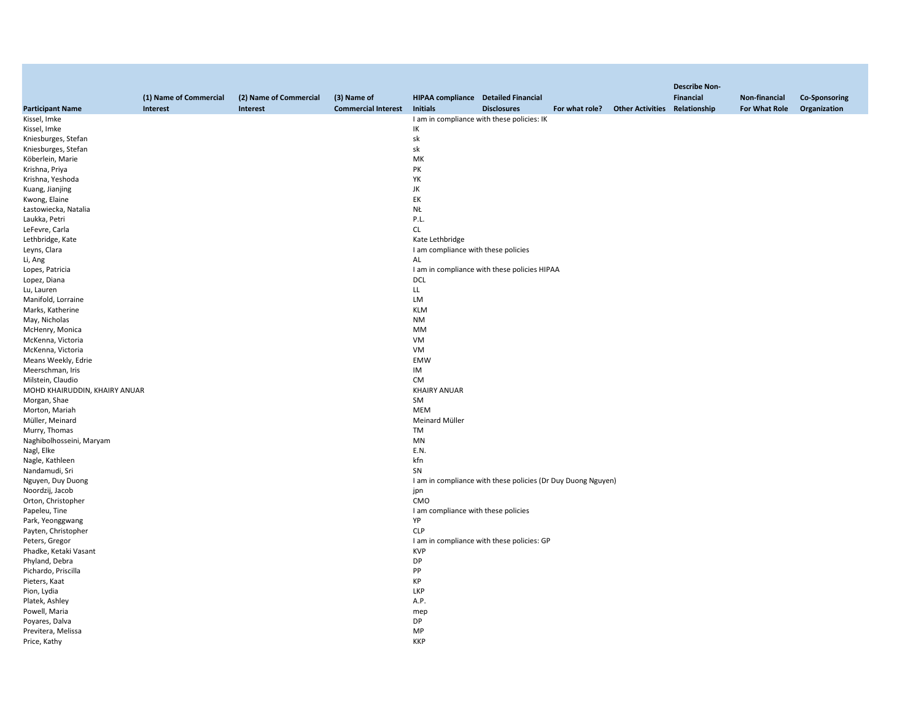|                               |                        |                        |                            |                                            |                                                              |                                              | <b>Describe Non-</b> |               |                      |
|-------------------------------|------------------------|------------------------|----------------------------|--------------------------------------------|--------------------------------------------------------------|----------------------------------------------|----------------------|---------------|----------------------|
|                               | (1) Name of Commercial | (2) Name of Commercial | (3) Name of                | <b>HIPAA compliance</b> Detailed Financial |                                                              |                                              | <b>Financial</b>     | Non-financial | <b>Co-Sponsoring</b> |
| <b>Participant Name</b>       | Interest               | Interest               | <b>Commercial Interest</b> | <b>Initials</b>                            | <b>Disclosures</b>                                           | For what role? Other Activities Relationship |                      | For What Role | Organization         |
| Kissel, Imke                  |                        |                        |                            |                                            | I am in compliance with these policies: IK                   |                                              |                      |               |                      |
| Kissel, Imke                  |                        |                        |                            | IK                                         |                                                              |                                              |                      |               |                      |
| Kniesburges, Stefan           |                        |                        |                            | sk                                         |                                                              |                                              |                      |               |                      |
| Kniesburges, Stefan           |                        |                        |                            | sk                                         |                                                              |                                              |                      |               |                      |
| Köberlein, Marie              |                        |                        |                            | МK                                         |                                                              |                                              |                      |               |                      |
| Krishna, Priya                |                        |                        |                            | PK                                         |                                                              |                                              |                      |               |                      |
| Krishna, Yeshoda              |                        |                        |                            | YK                                         |                                                              |                                              |                      |               |                      |
| Kuang, Jianjing               |                        |                        |                            | JK                                         |                                                              |                                              |                      |               |                      |
| Kwong, Elaine                 |                        |                        |                            | EK                                         |                                                              |                                              |                      |               |                      |
| Łastowiecka, Natalia          |                        |                        |                            | NŁ                                         |                                                              |                                              |                      |               |                      |
| Laukka, Petri                 |                        |                        |                            | P.L.                                       |                                                              |                                              |                      |               |                      |
| LeFevre, Carla                |                        |                        |                            | <b>CL</b>                                  |                                                              |                                              |                      |               |                      |
| Lethbridge, Kate              |                        |                        |                            | Kate Lethbridge                            |                                                              |                                              |                      |               |                      |
|                               |                        |                        |                            | I am compliance with these policies        |                                                              |                                              |                      |               |                      |
| Leyns, Clara                  |                        |                        |                            |                                            |                                                              |                                              |                      |               |                      |
| Li, Ang                       |                        |                        |                            | AL                                         |                                                              |                                              |                      |               |                      |
| Lopes, Patricia               |                        |                        |                            |                                            | I am in compliance with these policies HIPAA                 |                                              |                      |               |                      |
| Lopez, Diana                  |                        |                        |                            | <b>DCL</b>                                 |                                                              |                                              |                      |               |                      |
| Lu, Lauren                    |                        |                        |                            | LL                                         |                                                              |                                              |                      |               |                      |
| Manifold, Lorraine            |                        |                        |                            | LM                                         |                                                              |                                              |                      |               |                      |
| Marks, Katherine              |                        |                        |                            | <b>KLM</b>                                 |                                                              |                                              |                      |               |                      |
| May, Nicholas                 |                        |                        |                            | <b>NM</b>                                  |                                                              |                                              |                      |               |                      |
| McHenry, Monica               |                        |                        |                            | MM                                         |                                                              |                                              |                      |               |                      |
| McKenna, Victoria             |                        |                        |                            | VM                                         |                                                              |                                              |                      |               |                      |
| McKenna, Victoria             |                        |                        |                            | VM                                         |                                                              |                                              |                      |               |                      |
| Means Weekly, Edrie           |                        |                        |                            | <b>EMW</b>                                 |                                                              |                                              |                      |               |                      |
| Meerschman, Iris              |                        |                        |                            | IM                                         |                                                              |                                              |                      |               |                      |
| Milstein, Claudio             |                        |                        |                            | <b>CM</b>                                  |                                                              |                                              |                      |               |                      |
| MOHD KHAIRUDDIN, KHAIRY ANUAR |                        |                        |                            | <b>KHAIRY ANUAR</b>                        |                                                              |                                              |                      |               |                      |
| Morgan, Shae                  |                        |                        |                            | SM                                         |                                                              |                                              |                      |               |                      |
| Morton, Mariah                |                        |                        |                            | MEM                                        |                                                              |                                              |                      |               |                      |
| Müller, Meinard               |                        |                        |                            | Meinard Müller                             |                                                              |                                              |                      |               |                      |
| Murry, Thomas                 |                        |                        |                            | <b>TM</b>                                  |                                                              |                                              |                      |               |                      |
| Naghibolhosseini, Maryam      |                        |                        |                            | MN                                         |                                                              |                                              |                      |               |                      |
| Nagl, Elke                    |                        |                        |                            | E.N.                                       |                                                              |                                              |                      |               |                      |
| Nagle, Kathleen               |                        |                        |                            | kfn                                        |                                                              |                                              |                      |               |                      |
| Nandamudi, Sri                |                        |                        |                            | SN                                         |                                                              |                                              |                      |               |                      |
| Nguyen, Duy Duong             |                        |                        |                            |                                            | I am in compliance with these policies (Dr Duy Duong Nguyen) |                                              |                      |               |                      |
| Noordzij, Jacob               |                        |                        |                            | jpn                                        |                                                              |                                              |                      |               |                      |
| Orton, Christopher            |                        |                        |                            | CMO                                        |                                                              |                                              |                      |               |                      |
| Papeleu, Tine                 |                        |                        |                            | I am compliance with these policies        |                                                              |                                              |                      |               |                      |
| Park, Yeonggwang              |                        |                        |                            | YP                                         |                                                              |                                              |                      |               |                      |
| Payten, Christopher           |                        |                        |                            | <b>CLP</b>                                 |                                                              |                                              |                      |               |                      |
| Peters, Gregor                |                        |                        |                            |                                            | I am in compliance with these policies: GP                   |                                              |                      |               |                      |
| Phadke, Ketaki Vasant         |                        |                        |                            | <b>KVP</b>                                 |                                                              |                                              |                      |               |                      |
| Phyland, Debra                |                        |                        |                            | DP                                         |                                                              |                                              |                      |               |                      |
| Pichardo, Priscilla           |                        |                        |                            | PP                                         |                                                              |                                              |                      |               |                      |
| Pieters, Kaat                 |                        |                        |                            | KP                                         |                                                              |                                              |                      |               |                      |
| Pion, Lydia                   |                        |                        |                            | LKP                                        |                                                              |                                              |                      |               |                      |
| Platek, Ashley                |                        |                        |                            | A.P.                                       |                                                              |                                              |                      |               |                      |
| Powell, Maria                 |                        |                        |                            | mep                                        |                                                              |                                              |                      |               |                      |
| Poyares, Dalva                |                        |                        |                            | <b>DP</b>                                  |                                                              |                                              |                      |               |                      |
| Previtera, Melissa            |                        |                        |                            | MP                                         |                                                              |                                              |                      |               |                      |
| Price, Kathy                  |                        |                        |                            | <b>KKP</b>                                 |                                                              |                                              |                      |               |                      |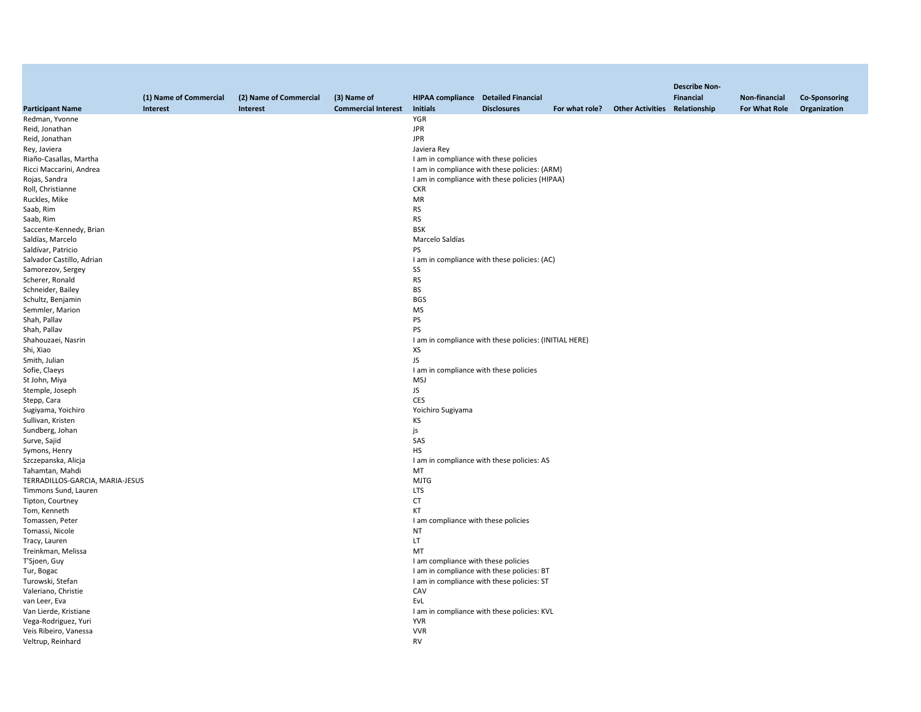|                                 | (1) Name of Commercial | (2) Name of Commercial | (3) Name of                | <b>HIPAA compliance</b> Detailed Financial |                                                        |                                              | <b>Describe Non-</b><br><b>Financial</b> | Non-financial | <b>Co-Sponsoring</b> |
|---------------------------------|------------------------|------------------------|----------------------------|--------------------------------------------|--------------------------------------------------------|----------------------------------------------|------------------------------------------|---------------|----------------------|
| <b>Participant Name</b>         | Interest               | Interest               | <b>Commercial Interest</b> | <b>Initials</b>                            | <b>Disclosures</b>                                     | For what role? Other Activities Relationship |                                          | For What Role | Organization         |
| Redman, Yvonne                  |                        |                        |                            | YGR                                        |                                                        |                                              |                                          |               |                      |
| Reid, Jonathan                  |                        |                        |                            | <b>JPR</b>                                 |                                                        |                                              |                                          |               |                      |
| Reid, Jonathan                  |                        |                        |                            | <b>JPR</b>                                 |                                                        |                                              |                                          |               |                      |
| Rey, Javiera                    |                        |                        |                            | Javiera Rey                                |                                                        |                                              |                                          |               |                      |
| Riaño-Casallas, Martha          |                        |                        |                            | I am in compliance with these policies     |                                                        |                                              |                                          |               |                      |
| Ricci Maccarini, Andrea         |                        |                        |                            |                                            | I am in compliance with these policies: (ARM)          |                                              |                                          |               |                      |
| Rojas, Sandra                   |                        |                        |                            |                                            | I am in compliance with these policies (HIPAA)         |                                              |                                          |               |                      |
| Roll, Christianne               |                        |                        |                            | <b>CKR</b>                                 |                                                        |                                              |                                          |               |                      |
| Ruckles, Mike                   |                        |                        |                            | MR                                         |                                                        |                                              |                                          |               |                      |
|                                 |                        |                        |                            |                                            |                                                        |                                              |                                          |               |                      |
| Saab, Rim                       |                        |                        |                            | <b>RS</b>                                  |                                                        |                                              |                                          |               |                      |
| Saab, Rim                       |                        |                        |                            | <b>RS</b>                                  |                                                        |                                              |                                          |               |                      |
| Saccente-Kennedy, Brian         |                        |                        |                            | <b>BSK</b>                                 |                                                        |                                              |                                          |               |                      |
| Saldías, Marcelo                |                        |                        |                            | Marcelo Saldías                            |                                                        |                                              |                                          |               |                      |
| Saldívar, Patricio              |                        |                        |                            | PS                                         |                                                        |                                              |                                          |               |                      |
| Salvador Castillo, Adrian       |                        |                        |                            |                                            | I am in compliance with these policies: (AC)           |                                              |                                          |               |                      |
| Samorezov, Sergey               |                        |                        |                            | SS                                         |                                                        |                                              |                                          |               |                      |
| Scherer, Ronald                 |                        |                        |                            | <b>RS</b>                                  |                                                        |                                              |                                          |               |                      |
| Schneider, Bailey               |                        |                        |                            | <b>BS</b>                                  |                                                        |                                              |                                          |               |                      |
| Schultz, Benjamin               |                        |                        |                            | <b>BGS</b>                                 |                                                        |                                              |                                          |               |                      |
| Semmler, Marion                 |                        |                        |                            | <b>MS</b>                                  |                                                        |                                              |                                          |               |                      |
| Shah, Pallav                    |                        |                        |                            | PS                                         |                                                        |                                              |                                          |               |                      |
| Shah, Pallav                    |                        |                        |                            | PS                                         |                                                        |                                              |                                          |               |                      |
| Shahouzaei, Nasrin              |                        |                        |                            |                                            | I am in compliance with these policies: (INITIAL HERE) |                                              |                                          |               |                      |
| Shi, Xiao                       |                        |                        |                            | XS                                         |                                                        |                                              |                                          |               |                      |
| Smith, Julian                   |                        |                        |                            | JS                                         |                                                        |                                              |                                          |               |                      |
| Sofie, Claeys                   |                        |                        |                            | I am in compliance with these policies     |                                                        |                                              |                                          |               |                      |
| St John, Miya                   |                        |                        |                            | <b>MSJ</b>                                 |                                                        |                                              |                                          |               |                      |
| Stemple, Joseph                 |                        |                        |                            | JS                                         |                                                        |                                              |                                          |               |                      |
| Stepp, Cara                     |                        |                        |                            | <b>CES</b>                                 |                                                        |                                              |                                          |               |                      |
| Sugiyama, Yoichiro              |                        |                        |                            | Yoichiro Sugiyama                          |                                                        |                                              |                                          |               |                      |
| Sullivan, Kristen               |                        |                        |                            | KS                                         |                                                        |                                              |                                          |               |                      |
| Sundberg, Johan                 |                        |                        |                            | js                                         |                                                        |                                              |                                          |               |                      |
| Surve, Sajid                    |                        |                        |                            | SAS                                        |                                                        |                                              |                                          |               |                      |
| Symons, Henry                   |                        |                        |                            | HS                                         |                                                        |                                              |                                          |               |                      |
| Szczepanska, Alicja             |                        |                        |                            |                                            | I am in compliance with these policies: AS             |                                              |                                          |               |                      |
| Tahamtan, Mahdi                 |                        |                        |                            | MT                                         |                                                        |                                              |                                          |               |                      |
| TERRADILLOS-GARCIA, MARIA-JESUS |                        |                        |                            | <b>MJTG</b>                                |                                                        |                                              |                                          |               |                      |
| Timmons Sund, Lauren            |                        |                        |                            | <b>LTS</b>                                 |                                                        |                                              |                                          |               |                      |
| Tipton, Courtney                |                        |                        |                            | <b>CT</b>                                  |                                                        |                                              |                                          |               |                      |
| Tom, Kenneth                    |                        |                        |                            | KT                                         |                                                        |                                              |                                          |               |                      |
| Tomassen, Peter                 |                        |                        |                            | I am compliance with these policies        |                                                        |                                              |                                          |               |                      |
| Tomassi, Nicole                 |                        |                        |                            | NT                                         |                                                        |                                              |                                          |               |                      |
| Tracy, Lauren                   |                        |                        |                            | LT                                         |                                                        |                                              |                                          |               |                      |
| Treinkman, Melissa              |                        |                        |                            | MT                                         |                                                        |                                              |                                          |               |                      |
| T'Sjoen, Guy                    |                        |                        |                            | I am compliance with these policies        |                                                        |                                              |                                          |               |                      |
| Tur, Bogac                      |                        |                        |                            |                                            | I am in compliance with these policies: BT             |                                              |                                          |               |                      |
| Turowski, Stefan                |                        |                        |                            |                                            | I am in compliance with these policies: ST             |                                              |                                          |               |                      |
| Valeriano, Christie             |                        |                        |                            | CAV                                        |                                                        |                                              |                                          |               |                      |
| van Leer, Eva                   |                        |                        |                            | EvL                                        |                                                        |                                              |                                          |               |                      |
| Van Lierde, Kristiane           |                        |                        |                            |                                            | I am in compliance with these policies: KVL            |                                              |                                          |               |                      |
| Vega-Rodriguez, Yuri            |                        |                        |                            | <b>YVR</b>                                 |                                                        |                                              |                                          |               |                      |
| Veis Ribeiro, Vanessa           |                        |                        |                            | <b>VVR</b>                                 |                                                        |                                              |                                          |               |                      |
| Veltrup, Reinhard               |                        |                        |                            | RV                                         |                                                        |                                              |                                          |               |                      |
|                                 |                        |                        |                            |                                            |                                                        |                                              |                                          |               |                      |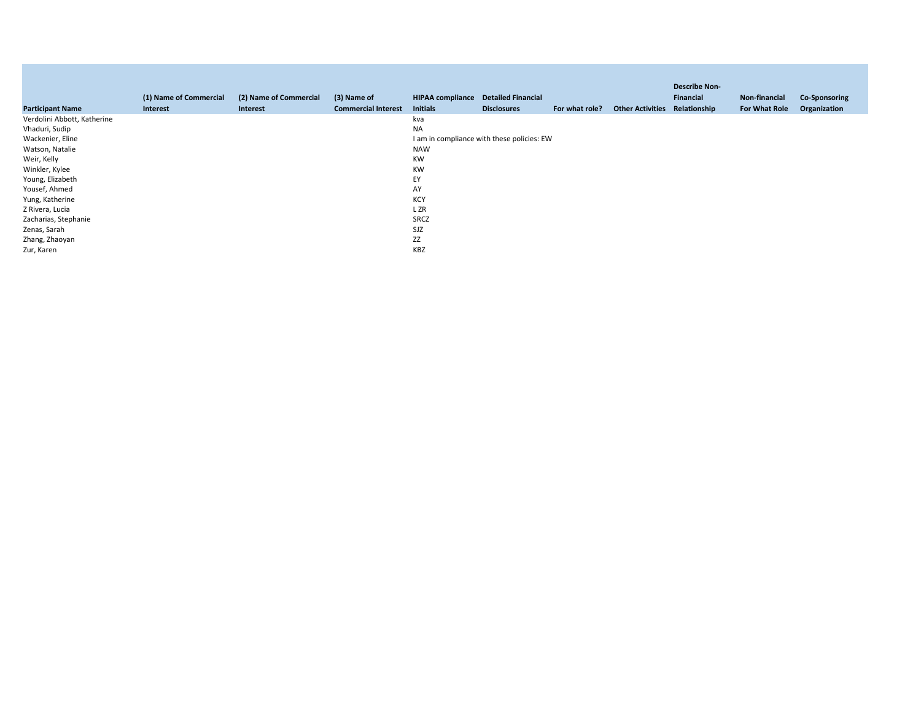| <b>Participant Name</b>     | (1) Name of Commercial<br>Interest | (2) Name of Commercial<br>Interest | (3) Name of<br><b>Commercial Interest</b> | <b>HIPAA compliance</b><br><b>Initials</b> | <b>Detailed Financial</b><br><b>Disclosures</b> | For what role? | <b>Other Activities</b> | <b>Describe Non-</b><br>Financial<br>Relationship | Non-financial<br>For What Role | <b>Co-Sponsoring</b><br>Organization |
|-----------------------------|------------------------------------|------------------------------------|-------------------------------------------|--------------------------------------------|-------------------------------------------------|----------------|-------------------------|---------------------------------------------------|--------------------------------|--------------------------------------|
| Verdolini Abbott, Katherine |                                    |                                    |                                           | kva                                        |                                                 |                |                         |                                                   |                                |                                      |
| Vhaduri, Sudip              |                                    |                                    |                                           | <b>NA</b>                                  |                                                 |                |                         |                                                   |                                |                                      |
| Wackenier, Eline            |                                    |                                    |                                           |                                            | I am in compliance with these policies: EW      |                |                         |                                                   |                                |                                      |
| Watson, Natalie             |                                    |                                    |                                           | <b>NAW</b>                                 |                                                 |                |                         |                                                   |                                |                                      |
| Weir, Kelly                 |                                    |                                    |                                           | <b>KW</b>                                  |                                                 |                |                         |                                                   |                                |                                      |
| Winkler, Kylee              |                                    |                                    |                                           | <b>KW</b>                                  |                                                 |                |                         |                                                   |                                |                                      |
| Young, Elizabeth            |                                    |                                    |                                           | EY                                         |                                                 |                |                         |                                                   |                                |                                      |
| Yousef, Ahmed               |                                    |                                    |                                           | AY                                         |                                                 |                |                         |                                                   |                                |                                      |
| Yung, Katherine             |                                    |                                    |                                           | KCY                                        |                                                 |                |                         |                                                   |                                |                                      |
| Z Rivera, Lucia             |                                    |                                    |                                           | L ZR                                       |                                                 |                |                         |                                                   |                                |                                      |
| Zacharias, Stephanie        |                                    |                                    |                                           | SRCZ                                       |                                                 |                |                         |                                                   |                                |                                      |
| Zenas, Sarah                |                                    |                                    |                                           | SJZ                                        |                                                 |                |                         |                                                   |                                |                                      |
| Zhang, Zhaoyan              |                                    |                                    |                                           | ZZ                                         |                                                 |                |                         |                                                   |                                |                                      |
| Zur, Karen                  |                                    |                                    |                                           | KBZ                                        |                                                 |                |                         |                                                   |                                |                                      |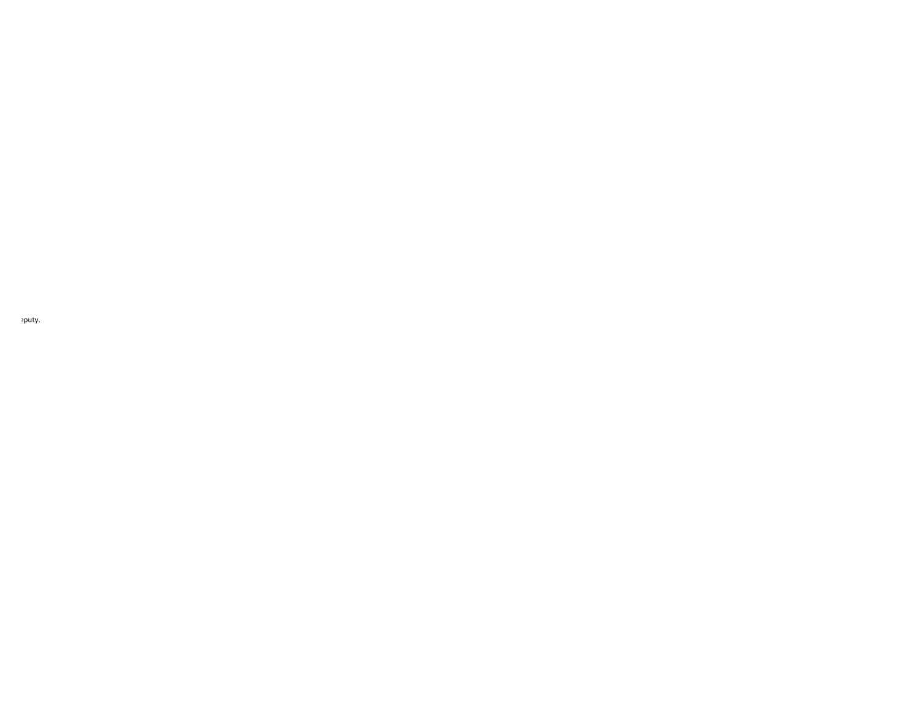puty.